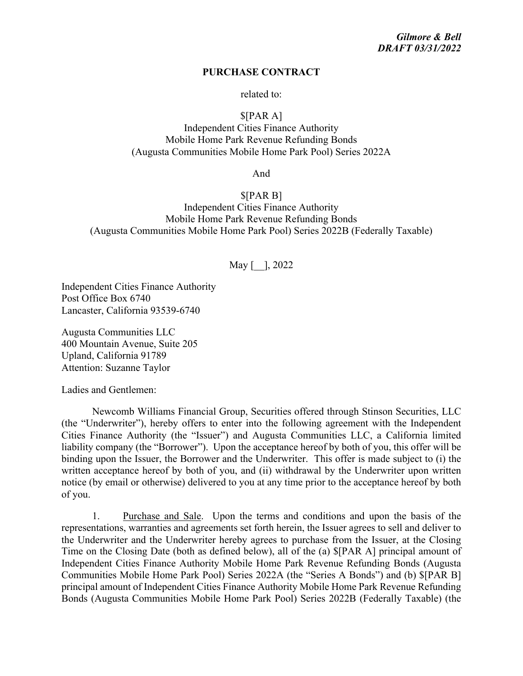#### **PURCHASE CONTRACT**

related to:

### \$[PAR A]

Independent Cities Finance Authority Mobile Home Park Revenue Refunding Bonds (Augusta Communities Mobile Home Park Pool) Series 2022A

And

\$[PAR B] Independent Cities Finance Authority Mobile Home Park Revenue Refunding Bonds (Augusta Communities Mobile Home Park Pool) Series 2022B (Federally Taxable)

## May [ ], 2022

Independent Cities Finance Authority Post Office Box 6740 Lancaster, California 93539-6740

Augusta Communities LLC 400 Mountain Avenue, Suite 205 Upland, California 91789 Attention: Suzanne Taylor

Ladies and Gentlemen:

Newcomb Williams Financial Group, Securities offered through Stinson Securities, LLC (the "Underwriter"), hereby offers to enter into the following agreement with the Independent Cities Finance Authority (the "Issuer") and Augusta Communities LLC, a California limited liability company (the "Borrower"). Upon the acceptance hereof by both of you, this offer will be binding upon the Issuer, the Borrower and the Underwriter. This offer is made subject to (i) the written acceptance hereof by both of you, and (ii) withdrawal by the Underwriter upon written notice (by email or otherwise) delivered to you at any time prior to the acceptance hereof by both of you.

1. Purchase and Sale. Upon the terms and conditions and upon the basis of the representations, warranties and agreements set forth herein, the Issuer agrees to sell and deliver to the Underwriter and the Underwriter hereby agrees to purchase from the Issuer, at the Closing Time on the Closing Date (both as defined below), all of the (a) \$[PAR A] principal amount of Independent Cities Finance Authority Mobile Home Park Revenue Refunding Bonds (Augusta Communities Mobile Home Park Pool) Series 2022A (the "Series A Bonds") and (b) \$[PAR B] principal amount of Independent Cities Finance Authority Mobile Home Park Revenue Refunding Bonds (Augusta Communities Mobile Home Park Pool) Series 2022B (Federally Taxable) (the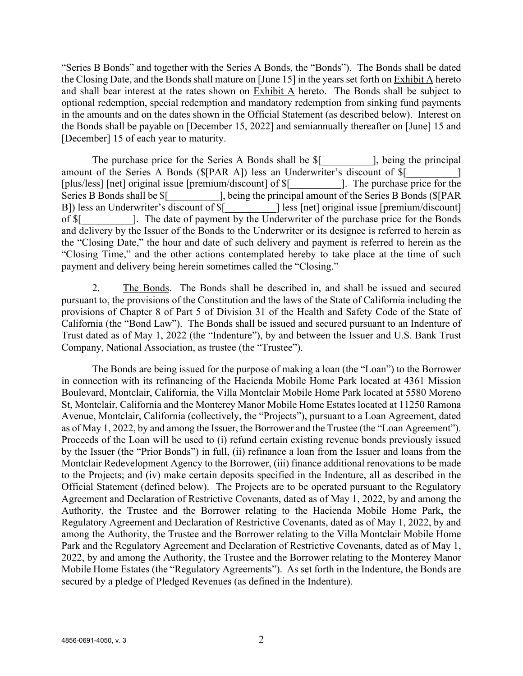"Series B Bonds" and together with the Series A Bonds, the "Bonds"). The Bonds shall be dated the Closing Date, and the Bonds shall mature on [June 15] in the years set forth on **Exhibit A** hereto and shall bear interest at the rates shown on Exhibit A hereto. The Bonds shall be subject to optional redemption, special redemption and mandatory redemption from sinking fund payments in the amounts and on the dates shown in the Official Statement (as described below). Interest on the Bonds shall be payable on [December 15, 2022] and semiannually thereafter on [June] 15 and [December] 15 of each year to maturity.

The purchase price for the Series A Bonds shall be \$[ The subseteenth principal local principal local principal amount of the Series A Bonds (\$[PAR A]) less an Underwriter's discount of \$[ [plus/less] [net] original issue [premium/discount] of  $\frac{1}{2}$  [ [ ]. The purchase price for the Series B Bonds shall be  $\frac{1}{2}$  [being the principal amount of the Series B Bonds ( $\frac{1}{2}$ [PAR] B]) less an Underwriter's discount of  $\[\$$  [  $\]$  less [net] original issue [premium/discount] of  $\frac{1}{2}$  [Co. The date of payment by the Underwriter of the purchase price for the Bonds and delivery by the Issuer of the Bonds to the Underwriter or its designee is referred to herein as the "Closing Date," the hour and date of such delivery and payment is referred to herein as the "Closing Time," and the other actions contemplated hereby to take place at the time of such payment and delivery being herein sometimes called the "Closing."

2. The Bonds. The Bonds shall be described in, and shall be issued and secured pursuant to, the provisions of the Constitution and the laws of the State of California including the provisions of Chapter 8 of Part 5 of Division 31 of the Health and Safety Code of the State of California (the "Bond Law"). The Bonds shall be issued and secured pursuant to an Indenture of Trust dated as of May 1, 2022 (the "Indenture"), by and between the Issuer and U.S. Bank Trust Company, National Association, as trustee (the "Trustee").

The Bonds are being issued for the purpose of making a loan (the "Loan") to the Borrower in connection with its refinancing of the Hacienda Mobile Home Park located at 4361 Mission Boulevard, Montclair, California, the Villa Montclair Mobile Home Park located at 5580 Moreno St, Montclair, California and the Monterey Manor Mobile Home Estates located at 11250 Ramona Avenue, Montclair, California (collectively, the "Projects"), pursuant to a Loan Agreement, dated as of May 1, 2022, by and among the Issuer, the Borrower and the Trustee (the "Loan Agreement"). Proceeds of the Loan will be used to (i) refund certain existing revenue bonds previously issued by the Issuer (the "Prior Bonds") in full, (ii) refinance a loan from the Issuer and loans from the Montclair Redevelopment Agency to the Borrower, (iii) finance additional renovations to be made to the Projects; and (iv) make certain deposits specified in the Indenture, all as described in the Official Statement (defined below). The Projects are to be operated pursuant to the Regulatory Agreement and Declaration of Restrictive Covenants, dated as of May 1, 2022, by and among the Authority, the Trustee and the Borrower relating to the Hacienda Mobile Home Park, the Regulatory Agreement and Declaration of Restrictive Covenants, dated as of May 1, 2022, by and among the Authority, the Trustee and the Borrower relating to the Villa Montclair Mobile Home Park and the Regulatory Agreement and Declaration of Restrictive Covenants, dated as of May 1, 2022, by and among the Authority, the Trustee and the Borrower relating to the Monterey Manor Mobile Home Estates (the "Regulatory Agreements"). As set forth in the Indenture, the Bonds are secured by a pledge of Pledged Revenues (as defined in the Indenture).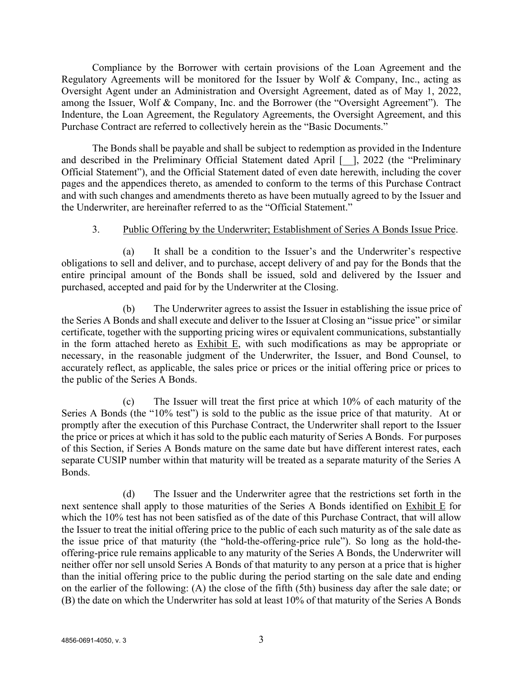Compliance by the Borrower with certain provisions of the Loan Agreement and the Regulatory Agreements will be monitored for the Issuer by Wolf & Company, Inc., acting as Oversight Agent under an Administration and Oversight Agreement, dated as of May 1, 2022, among the Issuer, Wolf & Company, Inc. and the Borrower (the "Oversight Agreement"). The Indenture, the Loan Agreement, the Regulatory Agreements, the Oversight Agreement, and this Purchase Contract are referred to collectively herein as the "Basic Documents."

The Bonds shall be payable and shall be subject to redemption as provided in the Indenture and described in the Preliminary Official Statement dated April [  $\vert$ ], 2022 (the "Preliminary Official Statement"), and the Official Statement dated of even date herewith, including the cover pages and the appendices thereto, as amended to conform to the terms of this Purchase Contract and with such changes and amendments thereto as have been mutually agreed to by the Issuer and the Underwriter, are hereinafter referred to as the "Official Statement."

## 3. Public Offering by the Underwriter; Establishment of Series A Bonds Issue Price.

(a) It shall be a condition to the Issuer's and the Underwriter's respective obligations to sell and deliver, and to purchase, accept delivery of and pay for the Bonds that the entire principal amount of the Bonds shall be issued, sold and delivered by the Issuer and purchased, accepted and paid for by the Underwriter at the Closing.

(b) The Underwriter agrees to assist the Issuer in establishing the issue price of the Series A Bonds and shall execute and deliver to the Issuer at Closing an "issue price" or similar certificate, together with the supporting pricing wires or equivalent communications, substantially in the form attached hereto as Exhibit E, with such modifications as may be appropriate or necessary, in the reasonable judgment of the Underwriter, the Issuer, and Bond Counsel, to accurately reflect, as applicable, the sales price or prices or the initial offering price or prices to the public of the Series A Bonds.

(c) The Issuer will treat the first price at which 10% of each maturity of the Series A Bonds (the "10% test") is sold to the public as the issue price of that maturity. At or promptly after the execution of this Purchase Contract, the Underwriter shall report to the Issuer the price or prices at which it has sold to the public each maturity of Series A Bonds. For purposes of this Section, if Series A Bonds mature on the same date but have different interest rates, each separate CUSIP number within that maturity will be treated as a separate maturity of the Series A Bonds.

(d) The Issuer and the Underwriter agree that the restrictions set forth in the next sentence shall apply to those maturities of the Series A Bonds identified on Exhibit E for which the 10% test has not been satisfied as of the date of this Purchase Contract, that will allow the Issuer to treat the initial offering price to the public of each such maturity as of the sale date as the issue price of that maturity (the "hold-the-offering-price rule"). So long as the hold-theoffering-price rule remains applicable to any maturity of the Series A Bonds, the Underwriter will neither offer nor sell unsold Series A Bonds of that maturity to any person at a price that is higher than the initial offering price to the public during the period starting on the sale date and ending on the earlier of the following: (A) the close of the fifth (5th) business day after the sale date; or (B) the date on which the Underwriter has sold at least 10% of that maturity of the Series A Bonds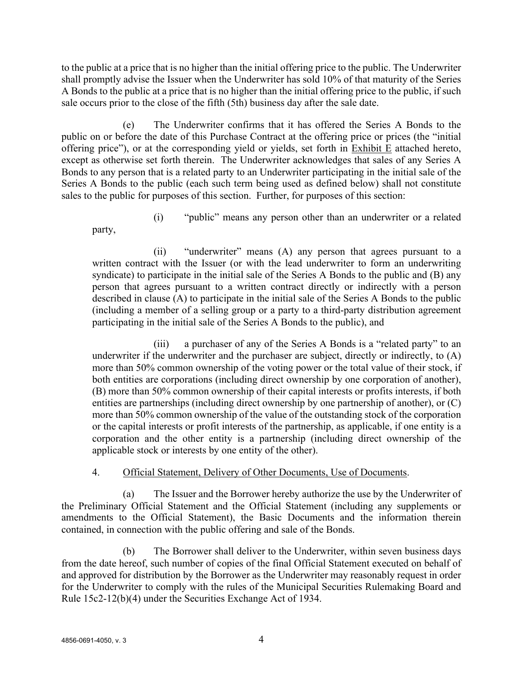to the public at a price that is no higher than the initial offering price to the public. The Underwriter shall promptly advise the Issuer when the Underwriter has sold 10% of that maturity of the Series A Bonds to the public at a price that is no higher than the initial offering price to the public, if such sale occurs prior to the close of the fifth (5th) business day after the sale date.

(e) The Underwriter confirms that it has offered the Series A Bonds to the public on or before the date of this Purchase Contract at the offering price or prices (the "initial offering price"), or at the corresponding yield or yields, set forth in Exhibit E attached hereto, except as otherwise set forth therein. The Underwriter acknowledges that sales of any Series A Bonds to any person that is a related party to an Underwriter participating in the initial sale of the Series A Bonds to the public (each such term being used as defined below) shall not constitute sales to the public for purposes of this section. Further, for purposes of this section:

(i) "public" means any person other than an underwriter or a related

(ii) "underwriter" means (A) any person that agrees pursuant to a written contract with the Issuer (or with the lead underwriter to form an underwriting syndicate) to participate in the initial sale of the Series A Bonds to the public and (B) any person that agrees pursuant to a written contract directly or indirectly with a person described in clause (A) to participate in the initial sale of the Series A Bonds to the public (including a member of a selling group or a party to a third-party distribution agreement participating in the initial sale of the Series A Bonds to the public), and

(iii) a purchaser of any of the Series A Bonds is a "related party" to an underwriter if the underwriter and the purchaser are subject, directly or indirectly, to (A) more than 50% common ownership of the voting power or the total value of their stock, if both entities are corporations (including direct ownership by one corporation of another), (B) more than 50% common ownership of their capital interests or profits interests, if both entities are partnerships (including direct ownership by one partnership of another), or (C) more than 50% common ownership of the value of the outstanding stock of the corporation or the capital interests or profit interests of the partnership, as applicable, if one entity is a corporation and the other entity is a partnership (including direct ownership of the applicable stock or interests by one entity of the other).

## 4. Official Statement, Delivery of Other Documents, Use of Documents.

(a) The Issuer and the Borrower hereby authorize the use by the Underwriter of the Preliminary Official Statement and the Official Statement (including any supplements or amendments to the Official Statement), the Basic Documents and the information therein contained, in connection with the public offering and sale of the Bonds.

(b) The Borrower shall deliver to the Underwriter, within seven business days from the date hereof, such number of copies of the final Official Statement executed on behalf of and approved for distribution by the Borrower as the Underwriter may reasonably request in order for the Underwriter to comply with the rules of the Municipal Securities Rulemaking Board and Rule 15c2-12(b)(4) under the Securities Exchange Act of 1934.

party,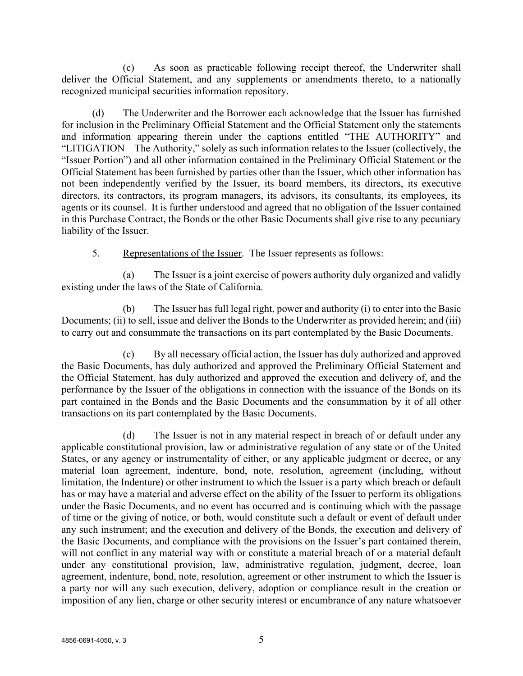(c) As soon as practicable following receipt thereof, the Underwriter shall deliver the Official Statement, and any supplements or amendments thereto, to a nationally recognized municipal securities information repository.

(d) The Underwriter and the Borrower each acknowledge that the Issuer has furnished for inclusion in the Preliminary Official Statement and the Official Statement only the statements and information appearing therein under the captions entitled "THE AUTHORITY" and "LITIGATION – The Authority," solely as such information relates to the Issuer (collectively, the "Issuer Portion") and all other information contained in the Preliminary Official Statement or the Official Statement has been furnished by parties other than the Issuer, which other information has not been independently verified by the Issuer, its board members, its directors, its executive directors, its contractors, its program managers, its advisors, its consultants, its employees, its agents or its counsel. It is further understood and agreed that no obligation of the Issuer contained in this Purchase Contract, the Bonds or the other Basic Documents shall give rise to any pecuniary liability of the Issuer.

5. Representations of the Issuer. The Issuer represents as follows:

(a) The Issuer is a joint exercise of powers authority duly organized and validly existing under the laws of the State of California.

(b) The Issuer has full legal right, power and authority (i) to enter into the Basic Documents; (ii) to sell, issue and deliver the Bonds to the Underwriter as provided herein; and (iii) to carry out and consummate the transactions on its part contemplated by the Basic Documents.

(c) By all necessary official action, the Issuer has duly authorized and approved the Basic Documents, has duly authorized and approved the Preliminary Official Statement and the Official Statement, has duly authorized and approved the execution and delivery of, and the performance by the Issuer of the obligations in connection with the issuance of the Bonds on its part contained in the Bonds and the Basic Documents and the consummation by it of all other transactions on its part contemplated by the Basic Documents.

(d) The Issuer is not in any material respect in breach of or default under any applicable constitutional provision, law or administrative regulation of any state or of the United States, or any agency or instrumentality of either, or any applicable judgment or decree, or any material loan agreement, indenture, bond, note, resolution, agreement (including, without limitation, the Indenture) or other instrument to which the Issuer is a party which breach or default has or may have a material and adverse effect on the ability of the Issuer to perform its obligations under the Basic Documents, and no event has occurred and is continuing which with the passage of time or the giving of notice, or both, would constitute such a default or event of default under any such instrument; and the execution and delivery of the Bonds, the execution and delivery of the Basic Documents, and compliance with the provisions on the Issuer's part contained therein, will not conflict in any material way with or constitute a material breach of or a material default under any constitutional provision, law, administrative regulation, judgment, decree, loan agreement, indenture, bond, note, resolution, agreement or other instrument to which the Issuer is a party nor will any such execution, delivery, adoption or compliance result in the creation or imposition of any lien, charge or other security interest or encumbrance of any nature whatsoever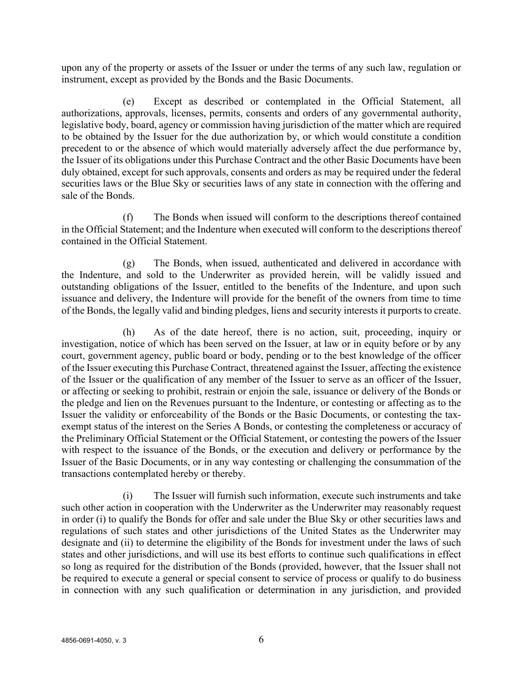upon any of the property or assets of the Issuer or under the terms of any such law, regulation or instrument, except as provided by the Bonds and the Basic Documents.

(e) Except as described or contemplated in the Official Statement, all authorizations, approvals, licenses, permits, consents and orders of any governmental authority, legislative body, board, agency or commission having jurisdiction of the matter which are required to be obtained by the Issuer for the due authorization by, or which would constitute a condition precedent to or the absence of which would materially adversely affect the due performance by, the Issuer of its obligations under this Purchase Contract and the other Basic Documents have been duly obtained, except for such approvals, consents and orders as may be required under the federal securities laws or the Blue Sky or securities laws of any state in connection with the offering and sale of the Bonds.

(f) The Bonds when issued will conform to the descriptions thereof contained in the Official Statement; and the Indenture when executed will conform to the descriptions thereof contained in the Official Statement.

(g) The Bonds, when issued, authenticated and delivered in accordance with the Indenture, and sold to the Underwriter as provided herein, will be validly issued and outstanding obligations of the Issuer, entitled to the benefits of the Indenture, and upon such issuance and delivery, the Indenture will provide for the benefit of the owners from time to time of the Bonds, the legally valid and binding pledges, liens and security interests it purports to create.

(h) As of the date hereof, there is no action, suit, proceeding, inquiry or investigation, notice of which has been served on the Issuer, at law or in equity before or by any court, government agency, public board or body, pending or to the best knowledge of the officer of the Issuer executing this Purchase Contract, threatened against the Issuer, affecting the existence of the Issuer or the qualification of any member of the Issuer to serve as an officer of the Issuer, or affecting or seeking to prohibit, restrain or enjoin the sale, issuance or delivery of the Bonds or the pledge and lien on the Revenues pursuant to the Indenture, or contesting or affecting as to the Issuer the validity or enforceability of the Bonds or the Basic Documents, or contesting the taxexempt status of the interest on the Series A Bonds, or contesting the completeness or accuracy of the Preliminary Official Statement or the Official Statement, or contesting the powers of the Issuer with respect to the issuance of the Bonds, or the execution and delivery or performance by the Issuer of the Basic Documents, or in any way contesting or challenging the consummation of the transactions contemplated hereby or thereby.

(i) The Issuer will furnish such information, execute such instruments and take such other action in cooperation with the Underwriter as the Underwriter may reasonably request in order (i) to qualify the Bonds for offer and sale under the Blue Sky or other securities laws and regulations of such states and other jurisdictions of the United States as the Underwriter may designate and (ii) to determine the eligibility of the Bonds for investment under the laws of such states and other jurisdictions, and will use its best efforts to continue such qualifications in effect so long as required for the distribution of the Bonds (provided, however, that the Issuer shall not be required to execute a general or special consent to service of process or qualify to do business in connection with any such qualification or determination in any jurisdiction, and provided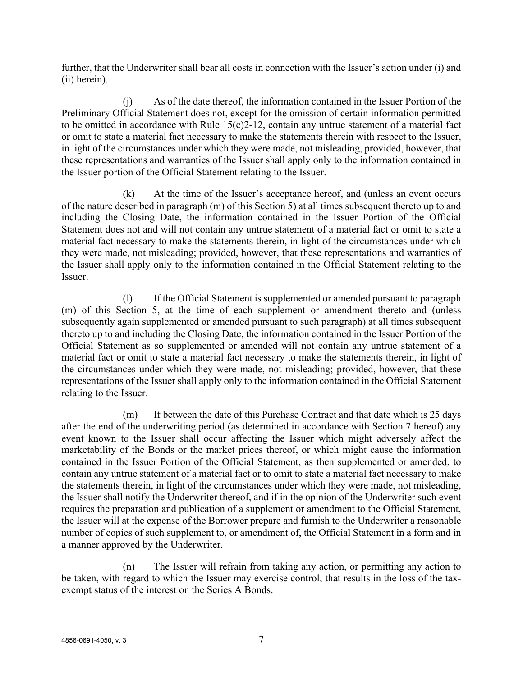further, that the Underwriter shall bear all costs in connection with the Issuer's action under (i) and (ii) herein).

(j) As of the date thereof, the information contained in the Issuer Portion of the Preliminary Official Statement does not, except for the omission of certain information permitted to be omitted in accordance with Rule 15(c)2-12, contain any untrue statement of a material fact or omit to state a material fact necessary to make the statements therein with respect to the Issuer, in light of the circumstances under which they were made, not misleading, provided, however, that these representations and warranties of the Issuer shall apply only to the information contained in the Issuer portion of the Official Statement relating to the Issuer.

(k) At the time of the Issuer's acceptance hereof, and (unless an event occurs of the nature described in paragraph (m) of this Section 5) at all times subsequent thereto up to and including the Closing Date, the information contained in the Issuer Portion of the Official Statement does not and will not contain any untrue statement of a material fact or omit to state a material fact necessary to make the statements therein, in light of the circumstances under which they were made, not misleading; provided, however, that these representations and warranties of the Issuer shall apply only to the information contained in the Official Statement relating to the Issuer.

(l) If the Official Statement is supplemented or amended pursuant to paragraph (m) of this Section 5, at the time of each supplement or amendment thereto and (unless subsequently again supplemented or amended pursuant to such paragraph) at all times subsequent thereto up to and including the Closing Date, the information contained in the Issuer Portion of the Official Statement as so supplemented or amended will not contain any untrue statement of a material fact or omit to state a material fact necessary to make the statements therein, in light of the circumstances under which they were made, not misleading; provided, however, that these representations of the Issuer shall apply only to the information contained in the Official Statement relating to the Issuer.

(m) If between the date of this Purchase Contract and that date which is 25 days after the end of the underwriting period (as determined in accordance with Section 7 hereof) any event known to the Issuer shall occur affecting the Issuer which might adversely affect the marketability of the Bonds or the market prices thereof, or which might cause the information contained in the Issuer Portion of the Official Statement, as then supplemented or amended, to contain any untrue statement of a material fact or to omit to state a material fact necessary to make the statements therein, in light of the circumstances under which they were made, not misleading, the Issuer shall notify the Underwriter thereof, and if in the opinion of the Underwriter such event requires the preparation and publication of a supplement or amendment to the Official Statement, the Issuer will at the expense of the Borrower prepare and furnish to the Underwriter a reasonable number of copies of such supplement to, or amendment of, the Official Statement in a form and in a manner approved by the Underwriter.

(n) The Issuer will refrain from taking any action, or permitting any action to be taken, with regard to which the Issuer may exercise control, that results in the loss of the taxexempt status of the interest on the Series A Bonds.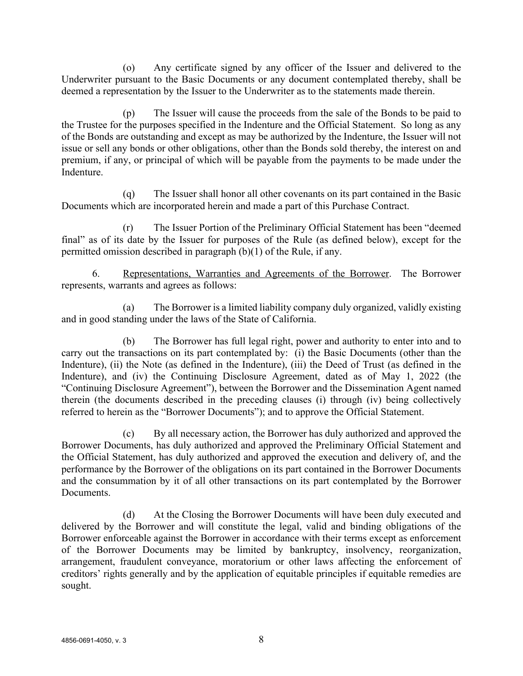(o) Any certificate signed by any officer of the Issuer and delivered to the Underwriter pursuant to the Basic Documents or any document contemplated thereby, shall be deemed a representation by the Issuer to the Underwriter as to the statements made therein.

(p) The Issuer will cause the proceeds from the sale of the Bonds to be paid to the Trustee for the purposes specified in the Indenture and the Official Statement. So long as any of the Bonds are outstanding and except as may be authorized by the Indenture, the Issuer will not issue or sell any bonds or other obligations, other than the Bonds sold thereby, the interest on and premium, if any, or principal of which will be payable from the payments to be made under the Indenture.

(q) The Issuer shall honor all other covenants on its part contained in the Basic Documents which are incorporated herein and made a part of this Purchase Contract.

(r) The Issuer Portion of the Preliminary Official Statement has been "deemed final" as of its date by the Issuer for purposes of the Rule (as defined below), except for the permitted omission described in paragraph (b)(1) of the Rule, if any.

6. Representations, Warranties and Agreements of the Borrower. The Borrower represents, warrants and agrees as follows:

(a) The Borrower is a limited liability company duly organized, validly existing and in good standing under the laws of the State of California.

(b) The Borrower has full legal right, power and authority to enter into and to carry out the transactions on its part contemplated by: (i) the Basic Documents (other than the Indenture), (ii) the Note (as defined in the Indenture), (iii) the Deed of Trust (as defined in the Indenture), and (iv) the Continuing Disclosure Agreement, dated as of May 1, 2022 (the "Continuing Disclosure Agreement"), between the Borrower and the Dissemination Agent named therein (the documents described in the preceding clauses (i) through (iv) being collectively referred to herein as the "Borrower Documents"); and to approve the Official Statement.

(c) By all necessary action, the Borrower has duly authorized and approved the Borrower Documents, has duly authorized and approved the Preliminary Official Statement and the Official Statement, has duly authorized and approved the execution and delivery of, and the performance by the Borrower of the obligations on its part contained in the Borrower Documents and the consummation by it of all other transactions on its part contemplated by the Borrower Documents.

(d) At the Closing the Borrower Documents will have been duly executed and delivered by the Borrower and will constitute the legal, valid and binding obligations of the Borrower enforceable against the Borrower in accordance with their terms except as enforcement of the Borrower Documents may be limited by bankruptcy, insolvency, reorganization, arrangement, fraudulent conveyance, moratorium or other laws affecting the enforcement of creditors' rights generally and by the application of equitable principles if equitable remedies are sought.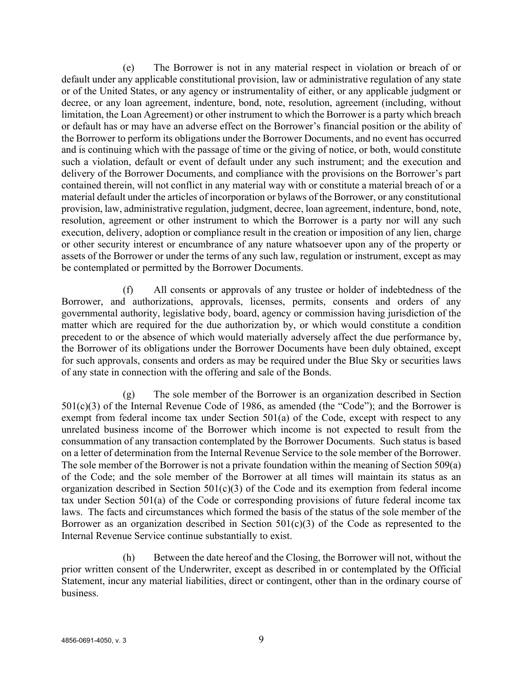(e) The Borrower is not in any material respect in violation or breach of or default under any applicable constitutional provision, law or administrative regulation of any state or of the United States, or any agency or instrumentality of either, or any applicable judgment or decree, or any loan agreement, indenture, bond, note, resolution, agreement (including, without limitation, the Loan Agreement) or other instrument to which the Borrower is a party which breach or default has or may have an adverse effect on the Borrower's financial position or the ability of the Borrower to perform its obligations under the Borrower Documents, and no event has occurred and is continuing which with the passage of time or the giving of notice, or both, would constitute such a violation, default or event of default under any such instrument; and the execution and delivery of the Borrower Documents, and compliance with the provisions on the Borrower's part contained therein, will not conflict in any material way with or constitute a material breach of or a material default under the articles of incorporation or bylaws of the Borrower, or any constitutional provision, law, administrative regulation, judgment, decree, loan agreement, indenture, bond, note, resolution, agreement or other instrument to which the Borrower is a party nor will any such execution, delivery, adoption or compliance result in the creation or imposition of any lien, charge or other security interest or encumbrance of any nature whatsoever upon any of the property or assets of the Borrower or under the terms of any such law, regulation or instrument, except as may be contemplated or permitted by the Borrower Documents.

(f) All consents or approvals of any trustee or holder of indebtedness of the Borrower, and authorizations, approvals, licenses, permits, consents and orders of any governmental authority, legislative body, board, agency or commission having jurisdiction of the matter which are required for the due authorization by, or which would constitute a condition precedent to or the absence of which would materially adversely affect the due performance by, the Borrower of its obligations under the Borrower Documents have been duly obtained, except for such approvals, consents and orders as may be required under the Blue Sky or securities laws of any state in connection with the offering and sale of the Bonds.

(g) The sole member of the Borrower is an organization described in Section  $501(c)(3)$  of the Internal Revenue Code of 1986, as amended (the "Code"); and the Borrower is exempt from federal income tax under Section 501(a) of the Code, except with respect to any unrelated business income of the Borrower which income is not expected to result from the consummation of any transaction contemplated by the Borrower Documents. Such status is based on a letter of determination from the Internal Revenue Service to the sole member of the Borrower. The sole member of the Borrower is not a private foundation within the meaning of Section 509(a) of the Code; and the sole member of the Borrower at all times will maintain its status as an organization described in Section  $501(c)(3)$  of the Code and its exemption from federal income tax under Section 501(a) of the Code or corresponding provisions of future federal income tax laws. The facts and circumstances which formed the basis of the status of the sole member of the Borrower as an organization described in Section  $501(c)(3)$  of the Code as represented to the Internal Revenue Service continue substantially to exist.

(h) Between the date hereof and the Closing, the Borrower will not, without the prior written consent of the Underwriter, except as described in or contemplated by the Official Statement, incur any material liabilities, direct or contingent, other than in the ordinary course of business.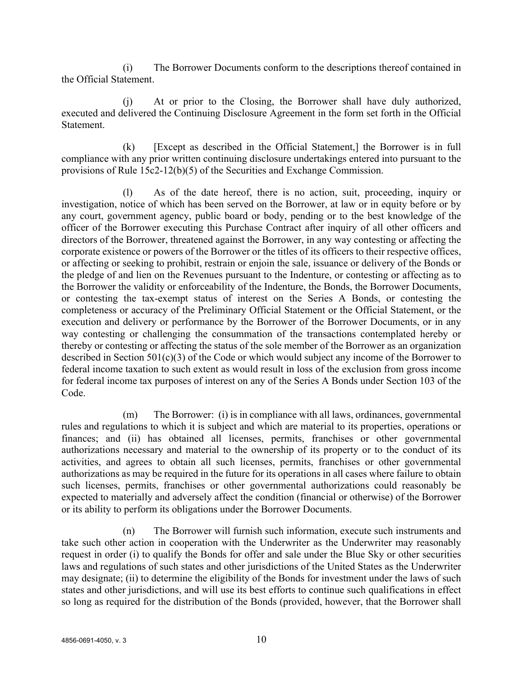(i) The Borrower Documents conform to the descriptions thereof contained in the Official Statement.

(j) At or prior to the Closing, the Borrower shall have duly authorized, executed and delivered the Continuing Disclosure Agreement in the form set forth in the Official Statement.

(k) [Except as described in the Official Statement,] the Borrower is in full compliance with any prior written continuing disclosure undertakings entered into pursuant to the provisions of Rule 15c2-12(b)(5) of the Securities and Exchange Commission.

(l) As of the date hereof, there is no action, suit, proceeding, inquiry or investigation, notice of which has been served on the Borrower, at law or in equity before or by any court, government agency, public board or body, pending or to the best knowledge of the officer of the Borrower executing this Purchase Contract after inquiry of all other officers and directors of the Borrower, threatened against the Borrower, in any way contesting or affecting the corporate existence or powers of the Borrower or the titles of its officers to their respective offices, or affecting or seeking to prohibit, restrain or enjoin the sale, issuance or delivery of the Bonds or the pledge of and lien on the Revenues pursuant to the Indenture, or contesting or affecting as to the Borrower the validity or enforceability of the Indenture, the Bonds, the Borrower Documents, or contesting the tax-exempt status of interest on the Series A Bonds, or contesting the completeness or accuracy of the Preliminary Official Statement or the Official Statement, or the execution and delivery or performance by the Borrower of the Borrower Documents, or in any way contesting or challenging the consummation of the transactions contemplated hereby or thereby or contesting or affecting the status of the sole member of the Borrower as an organization described in Section 501(c)(3) of the Code or which would subject any income of the Borrower to federal income taxation to such extent as would result in loss of the exclusion from gross income for federal income tax purposes of interest on any of the Series A Bonds under Section 103 of the Code.

(m) The Borrower: (i) is in compliance with all laws, ordinances, governmental rules and regulations to which it is subject and which are material to its properties, operations or finances; and (ii) has obtained all licenses, permits, franchises or other governmental authorizations necessary and material to the ownership of its property or to the conduct of its activities, and agrees to obtain all such licenses, permits, franchises or other governmental authorizations as may be required in the future for its operations in all cases where failure to obtain such licenses, permits, franchises or other governmental authorizations could reasonably be expected to materially and adversely affect the condition (financial or otherwise) of the Borrower or its ability to perform its obligations under the Borrower Documents.

(n) The Borrower will furnish such information, execute such instruments and take such other action in cooperation with the Underwriter as the Underwriter may reasonably request in order (i) to qualify the Bonds for offer and sale under the Blue Sky or other securities laws and regulations of such states and other jurisdictions of the United States as the Underwriter may designate; (ii) to determine the eligibility of the Bonds for investment under the laws of such states and other jurisdictions, and will use its best efforts to continue such qualifications in effect so long as required for the distribution of the Bonds (provided, however, that the Borrower shall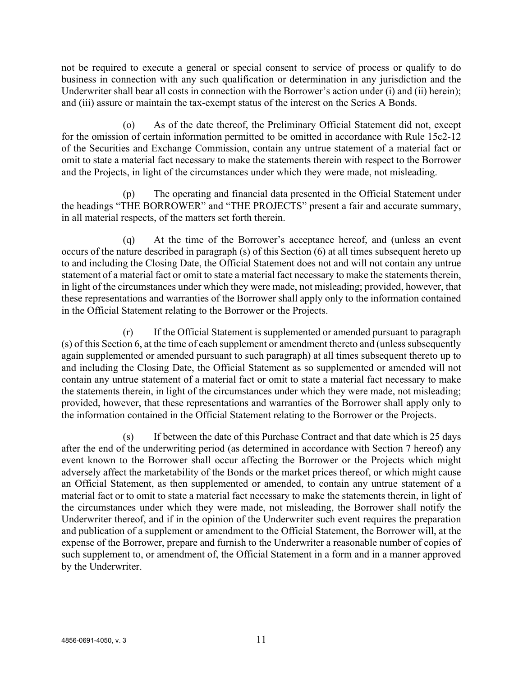not be required to execute a general or special consent to service of process or qualify to do business in connection with any such qualification or determination in any jurisdiction and the Underwriter shall bear all costs in connection with the Borrower's action under (i) and (ii) herein); and (iii) assure or maintain the tax-exempt status of the interest on the Series A Bonds.

(o) As of the date thereof, the Preliminary Official Statement did not, except for the omission of certain information permitted to be omitted in accordance with Rule 15c2-12 of the Securities and Exchange Commission, contain any untrue statement of a material fact or omit to state a material fact necessary to make the statements therein with respect to the Borrower and the Projects, in light of the circumstances under which they were made, not misleading.

(p) The operating and financial data presented in the Official Statement under the headings "THE BORROWER" and "THE PROJECTS" present a fair and accurate summary, in all material respects, of the matters set forth therein.

(q) At the time of the Borrower's acceptance hereof, and (unless an event occurs of the nature described in paragraph (s) of this Section (6) at all times subsequent hereto up to and including the Closing Date, the Official Statement does not and will not contain any untrue statement of a material fact or omit to state a material fact necessary to make the statements therein, in light of the circumstances under which they were made, not misleading; provided, however, that these representations and warranties of the Borrower shall apply only to the information contained in the Official Statement relating to the Borrower or the Projects.

(r) If the Official Statement is supplemented or amended pursuant to paragraph (s) of this Section 6, at the time of each supplement or amendment thereto and (unless subsequently again supplemented or amended pursuant to such paragraph) at all times subsequent thereto up to and including the Closing Date, the Official Statement as so supplemented or amended will not contain any untrue statement of a material fact or omit to state a material fact necessary to make the statements therein, in light of the circumstances under which they were made, not misleading; provided, however, that these representations and warranties of the Borrower shall apply only to the information contained in the Official Statement relating to the Borrower or the Projects.

(s) If between the date of this Purchase Contract and that date which is 25 days after the end of the underwriting period (as determined in accordance with Section 7 hereof) any event known to the Borrower shall occur affecting the Borrower or the Projects which might adversely affect the marketability of the Bonds or the market prices thereof, or which might cause an Official Statement, as then supplemented or amended, to contain any untrue statement of a material fact or to omit to state a material fact necessary to make the statements therein, in light of the circumstances under which they were made, not misleading, the Borrower shall notify the Underwriter thereof, and if in the opinion of the Underwriter such event requires the preparation and publication of a supplement or amendment to the Official Statement, the Borrower will, at the expense of the Borrower, prepare and furnish to the Underwriter a reasonable number of copies of such supplement to, or amendment of, the Official Statement in a form and in a manner approved by the Underwriter.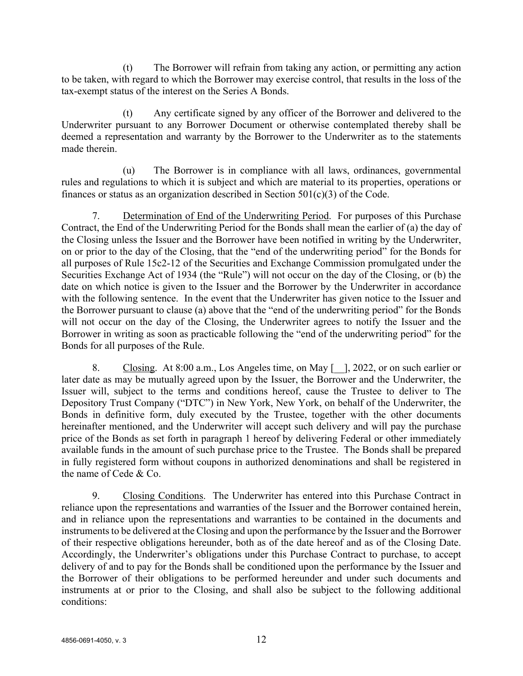(t) The Borrower will refrain from taking any action, or permitting any action to be taken, with regard to which the Borrower may exercise control, that results in the loss of the tax-exempt status of the interest on the Series A Bonds.

(t) Any certificate signed by any officer of the Borrower and delivered to the Underwriter pursuant to any Borrower Document or otherwise contemplated thereby shall be deemed a representation and warranty by the Borrower to the Underwriter as to the statements made therein.

(u) The Borrower is in compliance with all laws, ordinances, governmental rules and regulations to which it is subject and which are material to its properties, operations or finances or status as an organization described in Section  $501(c)(3)$  of the Code.

7. Determination of End of the Underwriting Period. For purposes of this Purchase Contract, the End of the Underwriting Period for the Bonds shall mean the earlier of (a) the day of the Closing unless the Issuer and the Borrower have been notified in writing by the Underwriter, on or prior to the day of the Closing, that the "end of the underwriting period" for the Bonds for all purposes of Rule 15c2-12 of the Securities and Exchange Commission promulgated under the Securities Exchange Act of 1934 (the "Rule") will not occur on the day of the Closing, or (b) the date on which notice is given to the Issuer and the Borrower by the Underwriter in accordance with the following sentence. In the event that the Underwriter has given notice to the Issuer and the Borrower pursuant to clause (a) above that the "end of the underwriting period" for the Bonds will not occur on the day of the Closing, the Underwriter agrees to notify the Issuer and the Borrower in writing as soon as practicable following the "end of the underwriting period" for the Bonds for all purposes of the Rule.

8. Closing. At 8:00 a.m., Los Angeles time, on May [\_\_], 2022, or on such earlier or later date as may be mutually agreed upon by the Issuer, the Borrower and the Underwriter, the Issuer will, subject to the terms and conditions hereof, cause the Trustee to deliver to The Depository Trust Company ("DTC") in New York, New York, on behalf of the Underwriter, the Bonds in definitive form, duly executed by the Trustee, together with the other documents hereinafter mentioned, and the Underwriter will accept such delivery and will pay the purchase price of the Bonds as set forth in paragraph 1 hereof by delivering Federal or other immediately available funds in the amount of such purchase price to the Trustee. The Bonds shall be prepared in fully registered form without coupons in authorized denominations and shall be registered in the name of Cede & Co.

9. Closing Conditions. The Underwriter has entered into this Purchase Contract in reliance upon the representations and warranties of the Issuer and the Borrower contained herein, and in reliance upon the representations and warranties to be contained in the documents and instruments to be delivered at the Closing and upon the performance by the Issuer and the Borrower of their respective obligations hereunder, both as of the date hereof and as of the Closing Date. Accordingly, the Underwriter's obligations under this Purchase Contract to purchase, to accept delivery of and to pay for the Bonds shall be conditioned upon the performance by the Issuer and the Borrower of their obligations to be performed hereunder and under such documents and instruments at or prior to the Closing, and shall also be subject to the following additional conditions: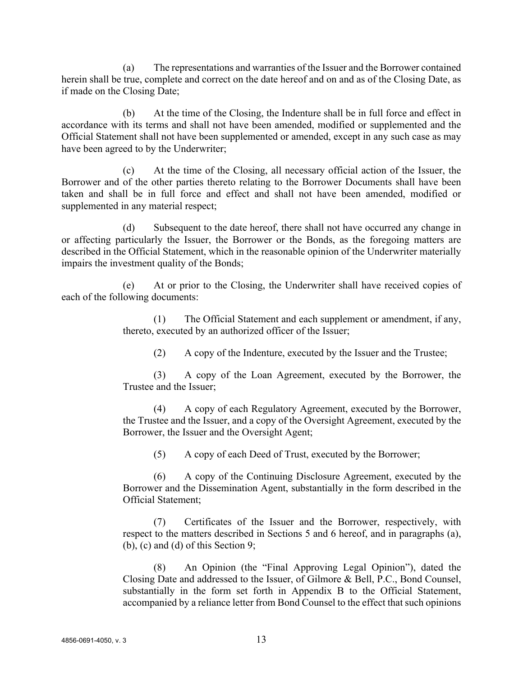(a) The representations and warranties of the Issuer and the Borrower contained herein shall be true, complete and correct on the date hereof and on and as of the Closing Date, as if made on the Closing Date;

(b) At the time of the Closing, the Indenture shall be in full force and effect in accordance with its terms and shall not have been amended, modified or supplemented and the Official Statement shall not have been supplemented or amended, except in any such case as may have been agreed to by the Underwriter;

(c) At the time of the Closing, all necessary official action of the Issuer, the Borrower and of the other parties thereto relating to the Borrower Documents shall have been taken and shall be in full force and effect and shall not have been amended, modified or supplemented in any material respect;

(d) Subsequent to the date hereof, there shall not have occurred any change in or affecting particularly the Issuer, the Borrower or the Bonds, as the foregoing matters are described in the Official Statement, which in the reasonable opinion of the Underwriter materially impairs the investment quality of the Bonds;

(e) At or prior to the Closing, the Underwriter shall have received copies of each of the following documents:

> (1) The Official Statement and each supplement or amendment, if any, thereto, executed by an authorized officer of the Issuer;

(2) A copy of the Indenture, executed by the Issuer and the Trustee;

(3) A copy of the Loan Agreement, executed by the Borrower, the Trustee and the Issuer;

(4) A copy of each Regulatory Agreement, executed by the Borrower, the Trustee and the Issuer, and a copy of the Oversight Agreement, executed by the Borrower, the Issuer and the Oversight Agent;

(5) A copy of each Deed of Trust, executed by the Borrower;

(6) A copy of the Continuing Disclosure Agreement, executed by the Borrower and the Dissemination Agent, substantially in the form described in the Official Statement;

(7) Certificates of the Issuer and the Borrower, respectively, with respect to the matters described in Sections 5 and 6 hereof, and in paragraphs (a), (b), (c) and (d) of this Section 9;

(8) An Opinion (the "Final Approving Legal Opinion"), dated the Closing Date and addressed to the Issuer, of Gilmore & Bell, P.C., Bond Counsel, substantially in the form set forth in Appendix B to the Official Statement, accompanied by a reliance letter from Bond Counsel to the effect that such opinions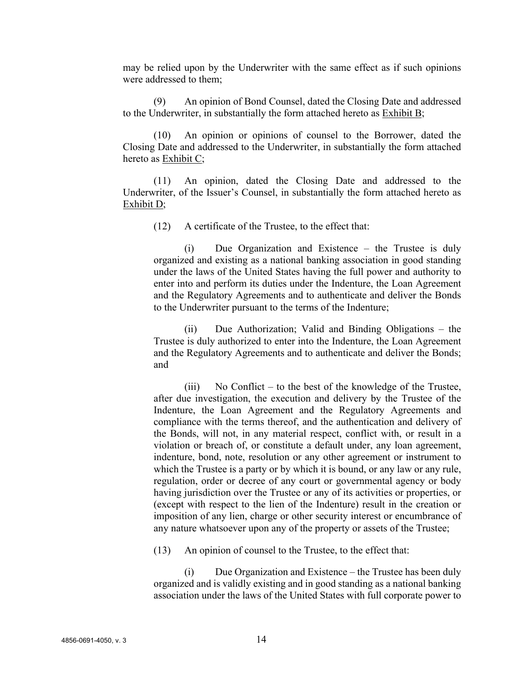may be relied upon by the Underwriter with the same effect as if such opinions were addressed to them;

(9) An opinion of Bond Counsel, dated the Closing Date and addressed to the Underwriter, in substantially the form attached hereto as Exhibit B;

(10) An opinion or opinions of counsel to the Borrower, dated the Closing Date and addressed to the Underwriter, in substantially the form attached hereto as Exhibit C;

(11) An opinion, dated the Closing Date and addressed to the Underwriter, of the Issuer's Counsel, in substantially the form attached hereto as Exhibit D;

(12) A certificate of the Trustee, to the effect that:

(i) Due Organization and Existence – the Trustee is duly organized and existing as a national banking association in good standing under the laws of the United States having the full power and authority to enter into and perform its duties under the Indenture, the Loan Agreement and the Regulatory Agreements and to authenticate and deliver the Bonds to the Underwriter pursuant to the terms of the Indenture;

(ii) Due Authorization; Valid and Binding Obligations – the Trustee is duly authorized to enter into the Indenture, the Loan Agreement and the Regulatory Agreements and to authenticate and deliver the Bonds; and

(iii) No Conflict – to the best of the knowledge of the Trustee, after due investigation, the execution and delivery by the Trustee of the Indenture, the Loan Agreement and the Regulatory Agreements and compliance with the terms thereof, and the authentication and delivery of the Bonds, will not, in any material respect, conflict with, or result in a violation or breach of, or constitute a default under, any loan agreement, indenture, bond, note, resolution or any other agreement or instrument to which the Trustee is a party or by which it is bound, or any law or any rule, regulation, order or decree of any court or governmental agency or body having jurisdiction over the Trustee or any of its activities or properties, or (except with respect to the lien of the Indenture) result in the creation or imposition of any lien, charge or other security interest or encumbrance of any nature whatsoever upon any of the property or assets of the Trustee;

(13) An opinion of counsel to the Trustee, to the effect that:

(i) Due Organization and Existence – the Trustee has been duly organized and is validly existing and in good standing as a national banking association under the laws of the United States with full corporate power to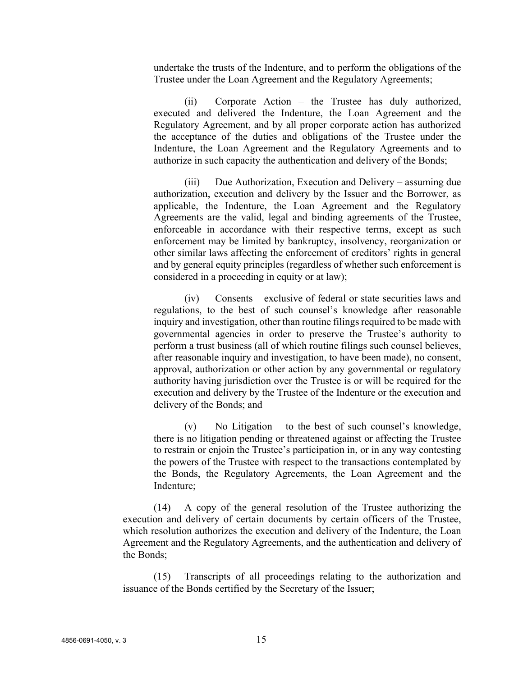undertake the trusts of the Indenture, and to perform the obligations of the Trustee under the Loan Agreement and the Regulatory Agreements;

(ii) Corporate Action – the Trustee has duly authorized, executed and delivered the Indenture, the Loan Agreement and the Regulatory Agreement, and by all proper corporate action has authorized the acceptance of the duties and obligations of the Trustee under the Indenture, the Loan Agreement and the Regulatory Agreements and to authorize in such capacity the authentication and delivery of the Bonds;

(iii) Due Authorization, Execution and Delivery – assuming due authorization, execution and delivery by the Issuer and the Borrower, as applicable, the Indenture, the Loan Agreement and the Regulatory Agreements are the valid, legal and binding agreements of the Trustee, enforceable in accordance with their respective terms, except as such enforcement may be limited by bankruptcy, insolvency, reorganization or other similar laws affecting the enforcement of creditors' rights in general and by general equity principles (regardless of whether such enforcement is considered in a proceeding in equity or at law);

(iv) Consents – exclusive of federal or state securities laws and regulations, to the best of such counsel's knowledge after reasonable inquiry and investigation, other than routine filings required to be made with governmental agencies in order to preserve the Trustee's authority to perform a trust business (all of which routine filings such counsel believes, after reasonable inquiry and investigation, to have been made), no consent, approval, authorization or other action by any governmental or regulatory authority having jurisdiction over the Trustee is or will be required for the execution and delivery by the Trustee of the Indenture or the execution and delivery of the Bonds; and

 $(v)$  No Litigation – to the best of such counsel's knowledge, there is no litigation pending or threatened against or affecting the Trustee to restrain or enjoin the Trustee's participation in, or in any way contesting the powers of the Trustee with respect to the transactions contemplated by the Bonds, the Regulatory Agreements, the Loan Agreement and the Indenture;

(14) A copy of the general resolution of the Trustee authorizing the execution and delivery of certain documents by certain officers of the Trustee, which resolution authorizes the execution and delivery of the Indenture, the Loan Agreement and the Regulatory Agreements, and the authentication and delivery of the Bonds;

(15) Transcripts of all proceedings relating to the authorization and issuance of the Bonds certified by the Secretary of the Issuer;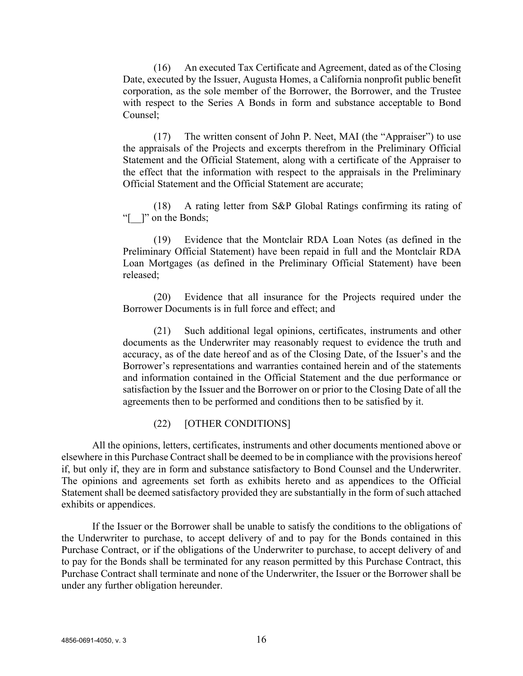(16) An executed Tax Certificate and Agreement, dated as of the Closing Date, executed by the Issuer, Augusta Homes, a California nonprofit public benefit corporation, as the sole member of the Borrower, the Borrower, and the Trustee with respect to the Series A Bonds in form and substance acceptable to Bond Counsel;

(17) The written consent of John P. Neet, MAI (the "Appraiser") to use the appraisals of the Projects and excerpts therefrom in the Preliminary Official Statement and the Official Statement, along with a certificate of the Appraiser to the effect that the information with respect to the appraisals in the Preliminary Official Statement and the Official Statement are accurate;

(18) A rating letter from S&P Global Ratings confirming its rating of "[  $\Box$ " on the Bonds;

(19) Evidence that the Montclair RDA Loan Notes (as defined in the Preliminary Official Statement) have been repaid in full and the Montclair RDA Loan Mortgages (as defined in the Preliminary Official Statement) have been released;

(20) Evidence that all insurance for the Projects required under the Borrower Documents is in full force and effect; and

(21) Such additional legal opinions, certificates, instruments and other documents as the Underwriter may reasonably request to evidence the truth and accuracy, as of the date hereof and as of the Closing Date, of the Issuer's and the Borrower's representations and warranties contained herein and of the statements and information contained in the Official Statement and the due performance or satisfaction by the Issuer and the Borrower on or prior to the Closing Date of all the agreements then to be performed and conditions then to be satisfied by it.

#### (22) [OTHER CONDITIONS]

All the opinions, letters, certificates, instruments and other documents mentioned above or elsewhere in this Purchase Contract shall be deemed to be in compliance with the provisions hereof if, but only if, they are in form and substance satisfactory to Bond Counsel and the Underwriter. The opinions and agreements set forth as exhibits hereto and as appendices to the Official Statement shall be deemed satisfactory provided they are substantially in the form of such attached exhibits or appendices.

If the Issuer or the Borrower shall be unable to satisfy the conditions to the obligations of the Underwriter to purchase, to accept delivery of and to pay for the Bonds contained in this Purchase Contract, or if the obligations of the Underwriter to purchase, to accept delivery of and to pay for the Bonds shall be terminated for any reason permitted by this Purchase Contract, this Purchase Contract shall terminate and none of the Underwriter, the Issuer or the Borrower shall be under any further obligation hereunder.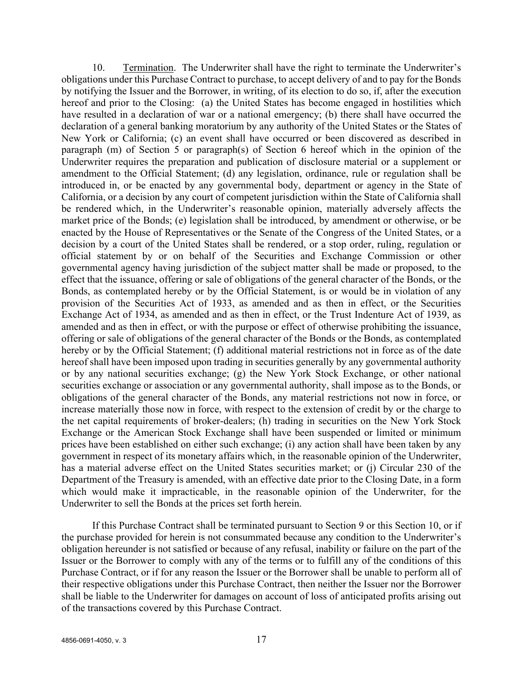10. Termination. The Underwriter shall have the right to terminate the Underwriter's obligations under this Purchase Contract to purchase, to accept delivery of and to pay for the Bonds by notifying the Issuer and the Borrower, in writing, of its election to do so, if, after the execution hereof and prior to the Closing: (a) the United States has become engaged in hostilities which have resulted in a declaration of war or a national emergency; (b) there shall have occurred the declaration of a general banking moratorium by any authority of the United States or the States of New York or California; (c) an event shall have occurred or been discovered as described in paragraph (m) of Section 5 or paragraph(s) of Section 6 hereof which in the opinion of the Underwriter requires the preparation and publication of disclosure material or a supplement or amendment to the Official Statement; (d) any legislation, ordinance, rule or regulation shall be introduced in, or be enacted by any governmental body, department or agency in the State of California, or a decision by any court of competent jurisdiction within the State of California shall be rendered which, in the Underwriter's reasonable opinion, materially adversely affects the market price of the Bonds; (e) legislation shall be introduced, by amendment or otherwise, or be enacted by the House of Representatives or the Senate of the Congress of the United States, or a decision by a court of the United States shall be rendered, or a stop order, ruling, regulation or official statement by or on behalf of the Securities and Exchange Commission or other governmental agency having jurisdiction of the subject matter shall be made or proposed, to the effect that the issuance, offering or sale of obligations of the general character of the Bonds, or the Bonds, as contemplated hereby or by the Official Statement, is or would be in violation of any provision of the Securities Act of 1933, as amended and as then in effect, or the Securities Exchange Act of 1934, as amended and as then in effect, or the Trust Indenture Act of 1939, as amended and as then in effect, or with the purpose or effect of otherwise prohibiting the issuance, offering or sale of obligations of the general character of the Bonds or the Bonds, as contemplated hereby or by the Official Statement; (f) additional material restrictions not in force as of the date hereof shall have been imposed upon trading in securities generally by any governmental authority or by any national securities exchange; (g) the New York Stock Exchange, or other national securities exchange or association or any governmental authority, shall impose as to the Bonds, or obligations of the general character of the Bonds, any material restrictions not now in force, or increase materially those now in force, with respect to the extension of credit by or the charge to the net capital requirements of broker-dealers; (h) trading in securities on the New York Stock Exchange or the American Stock Exchange shall have been suspended or limited or minimum prices have been established on either such exchange; (i) any action shall have been taken by any government in respect of its monetary affairs which, in the reasonable opinion of the Underwriter, has a material adverse effect on the United States securities market; or (j) Circular 230 of the Department of the Treasury is amended, with an effective date prior to the Closing Date, in a form which would make it impracticable, in the reasonable opinion of the Underwriter, for the Underwriter to sell the Bonds at the prices set forth herein.

If this Purchase Contract shall be terminated pursuant to Section 9 or this Section 10, or if the purchase provided for herein is not consummated because any condition to the Underwriter's obligation hereunder is not satisfied or because of any refusal, inability or failure on the part of the Issuer or the Borrower to comply with any of the terms or to fulfill any of the conditions of this Purchase Contract, or if for any reason the Issuer or the Borrower shall be unable to perform all of their respective obligations under this Purchase Contract, then neither the Issuer nor the Borrower shall be liable to the Underwriter for damages on account of loss of anticipated profits arising out of the transactions covered by this Purchase Contract.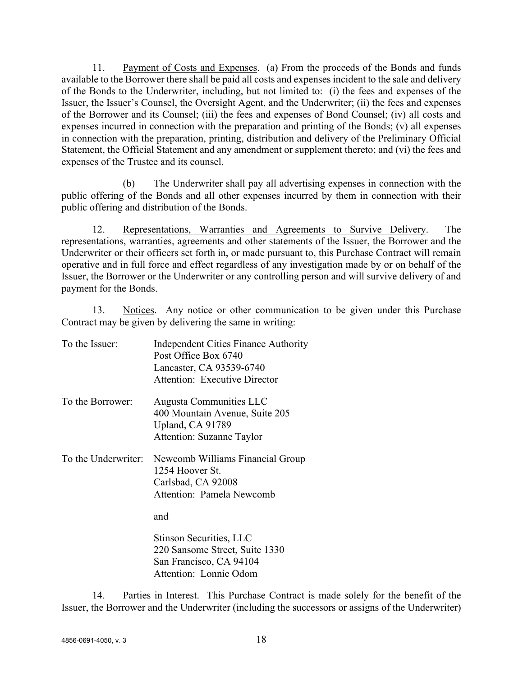11. Payment of Costs and Expenses. (a) From the proceeds of the Bonds and funds available to the Borrower there shall be paid all costs and expenses incident to the sale and delivery of the Bonds to the Underwriter, including, but not limited to: (i) the fees and expenses of the Issuer, the Issuer's Counsel, the Oversight Agent, and the Underwriter; (ii) the fees and expenses of the Borrower and its Counsel; (iii) the fees and expenses of Bond Counsel; (iv) all costs and expenses incurred in connection with the preparation and printing of the Bonds; (v) all expenses in connection with the preparation, printing, distribution and delivery of the Preliminary Official Statement, the Official Statement and any amendment or supplement thereto; and (vi) the fees and expenses of the Trustee and its counsel.

(b) The Underwriter shall pay all advertising expenses in connection with the public offering of the Bonds and all other expenses incurred by them in connection with their public offering and distribution of the Bonds.

12. Representations, Warranties and Agreements to Survive Delivery. The representations, warranties, agreements and other statements of the Issuer, the Borrower and the Underwriter or their officers set forth in, or made pursuant to, this Purchase Contract will remain operative and in full force and effect regardless of any investigation made by or on behalf of the Issuer, the Borrower or the Underwriter or any controlling person and will survive delivery of and payment for the Bonds.

13. Notices. Any notice or other communication to be given under this Purchase Contract may be given by delivering the same in writing:

| To the Issuer:   | <b>Independent Cities Finance Authority</b><br>Post Office Box 6740<br>Lancaster, CA 93539-6740<br>Attention: Executive Director  |  |  |
|------------------|-----------------------------------------------------------------------------------------------------------------------------------|--|--|
| To the Borrower: | Augusta Communities LLC<br>400 Mountain Avenue, Suite 205<br>Upland, CA 91789<br><b>Attention: Suzanne Taylor</b>                 |  |  |
|                  | To the Underwriter: Newcomb Williams Financial Group<br>1254 Hoover St.<br>Carlsbad, CA 92008<br>Attention: Pamela Newcomb<br>and |  |  |
|                  | Stinson Securities, LLC<br>220 Sansome Street, Suite 1330                                                                         |  |  |

San Francisco, CA 94104 Attention: Lonnie Odom

14. Parties in Interest. This Purchase Contract is made solely for the benefit of the Issuer, the Borrower and the Underwriter (including the successors or assigns of the Underwriter)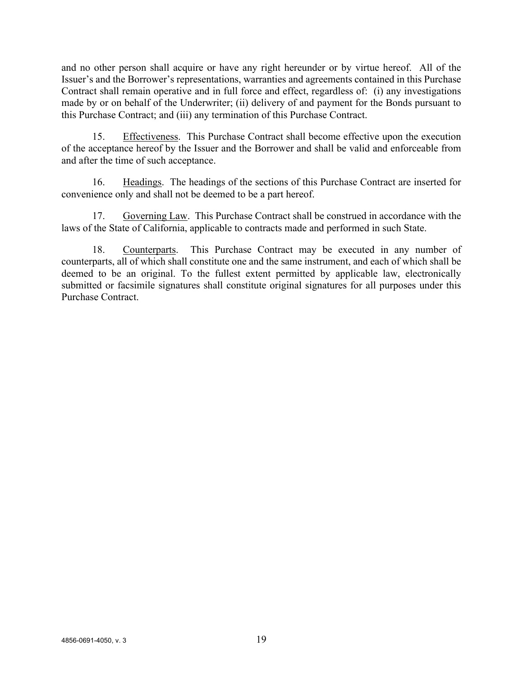and no other person shall acquire or have any right hereunder or by virtue hereof. All of the Issuer's and the Borrower's representations, warranties and agreements contained in this Purchase Contract shall remain operative and in full force and effect, regardless of: (i) any investigations made by or on behalf of the Underwriter; (ii) delivery of and payment for the Bonds pursuant to this Purchase Contract; and (iii) any termination of this Purchase Contract.

15. Effectiveness. This Purchase Contract shall become effective upon the execution of the acceptance hereof by the Issuer and the Borrower and shall be valid and enforceable from and after the time of such acceptance.

16. Headings. The headings of the sections of this Purchase Contract are inserted for convenience only and shall not be deemed to be a part hereof.

17. Governing Law. This Purchase Contract shall be construed in accordance with the laws of the State of California, applicable to contracts made and performed in such State.

18. Counterparts. This Purchase Contract may be executed in any number of counterparts, all of which shall constitute one and the same instrument, and each of which shall be deemed to be an original. To the fullest extent permitted by applicable law, electronically submitted or facsimile signatures shall constitute original signatures for all purposes under this Purchase Contract.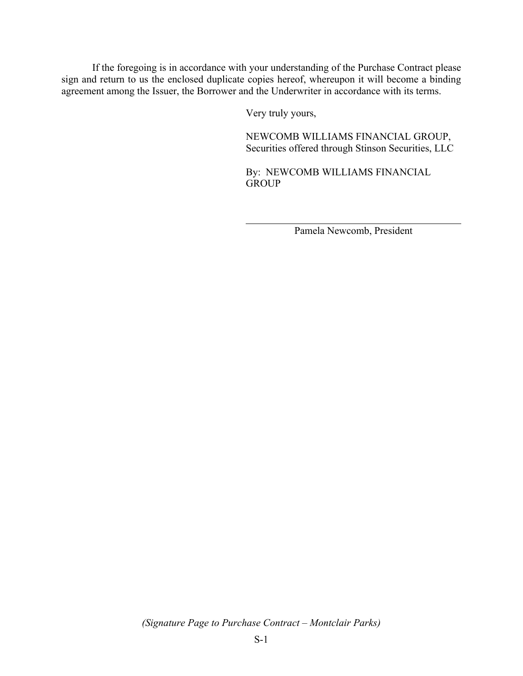If the foregoing is in accordance with your understanding of the Purchase Contract please sign and return to us the enclosed duplicate copies hereof, whereupon it will become a binding agreement among the Issuer, the Borrower and the Underwriter in accordance with its terms.

Very truly yours,

NEWCOMB WILLIAMS FINANCIAL GROUP, Securities offered through Stinson Securities, LLC

By: NEWCOMB WILLIAMS FINANCIAL **GROUP** 

Pamela Newcomb, President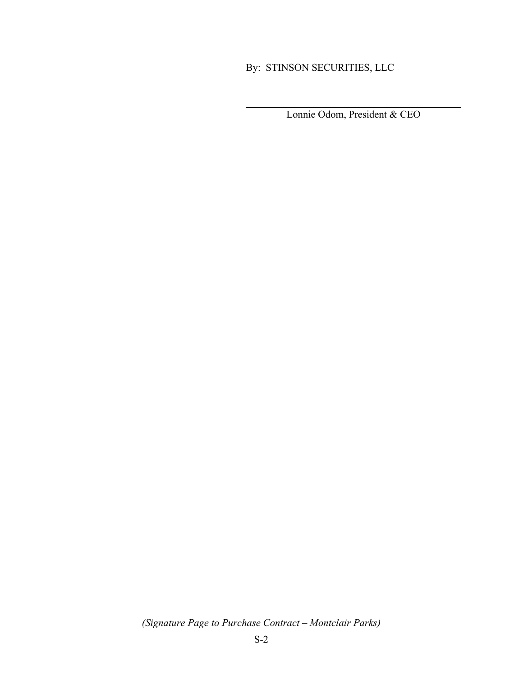## By: STINSON SECURITIES, LLC

Lonnie Odom, President & CEO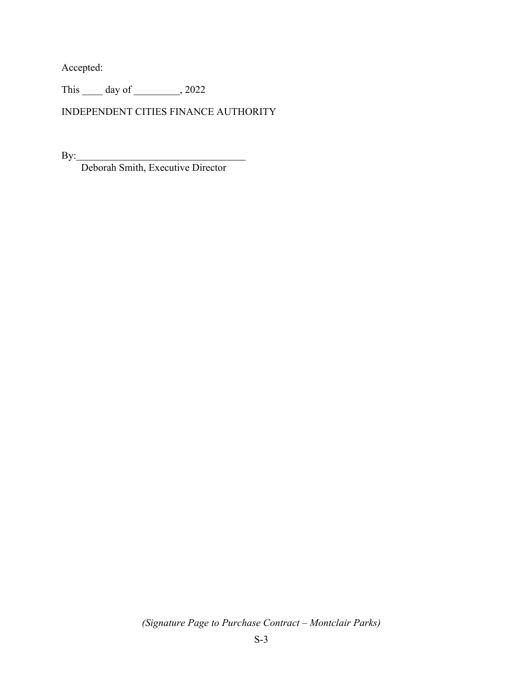Accepted:

This \_\_\_\_\_ day of \_\_\_\_\_\_\_\_, 2022

INDEPENDENT CITIES FINANCE AUTHORITY

By:

Deborah Smith, Executive Director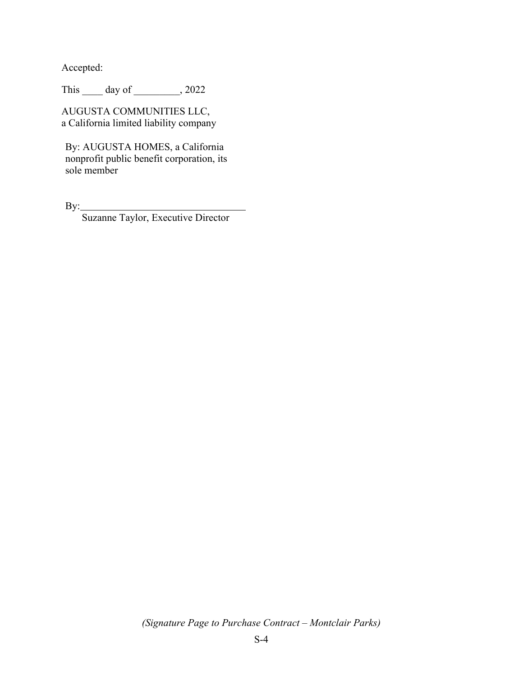Accepted:

This \_\_\_\_\_\_ day of \_\_\_\_\_\_\_\_, 2022

AUGUSTA COMMUNITIES LLC, a California limited liability company

By: AUGUSTA HOMES, a California nonprofit public benefit corporation, its sole member

By:

Suzanne Taylor, Executive Director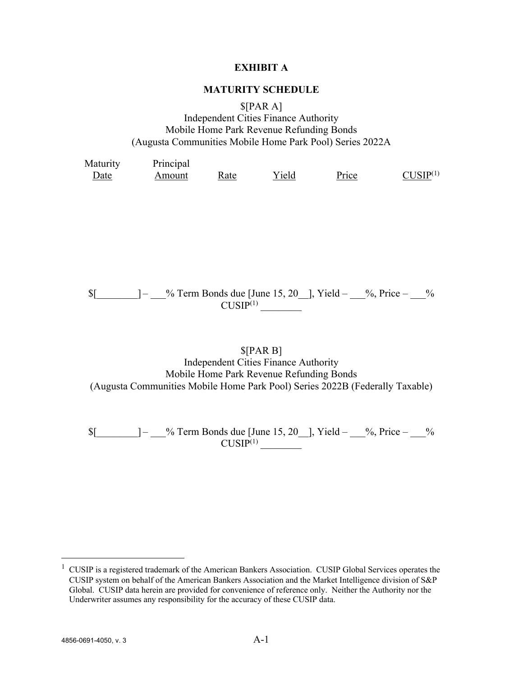## **EXHIBIT A**

## **MATURITY SCHEDULE**

\$[PAR A]

Independent Cities Finance Authority Mobile Home Park Revenue Refunding Bonds (Augusta Communities Mobile Home Park Pool) Series 2022A

| Maturity | Principal |      |       |       |              |
|----------|-----------|------|-------|-------|--------------|
| Date     | Amount    | Rate | Yield | Price | $CI$ [SIP(1) |

## $\text{\%}$  =  $\text{\%}$  7 =  $\text{cm}$  Bonds due [June 15, 20 ], Yield –  $\text{\%}$ , Price –  $\text{\%}$  $CUSIP<sup>(1)</sup>$

## \$[PAR B]

Independent Cities Finance Authority Mobile Home Park Revenue Refunding Bonds (Augusta Communities Mobile Home Park Pool) Series 2022B (Federally Taxable)

 $$[\underline{\hspace{1cm}}] - \underline{\hspace{1cm}}\%$  Term Bonds due [June 15, 20\_], Yield –  $\underline{\hspace{1cm}}\%$ , Price –  $\underline{\hspace{1cm}}\%$  $\frac{CUSIP^{(1)}}{CUSIP^{(1)}}$ 

 $1$  CUSIP is a registered trademark of the American Bankers Association. CUSIP Global Services operates the CUSIP system on behalf of the American Bankers Association and the Market Intelligence division of S&P Global. CUSIP data herein are provided for convenience of reference only. Neither the Authority nor the Underwriter assumes any responsibility for the accuracy of these CUSIP data.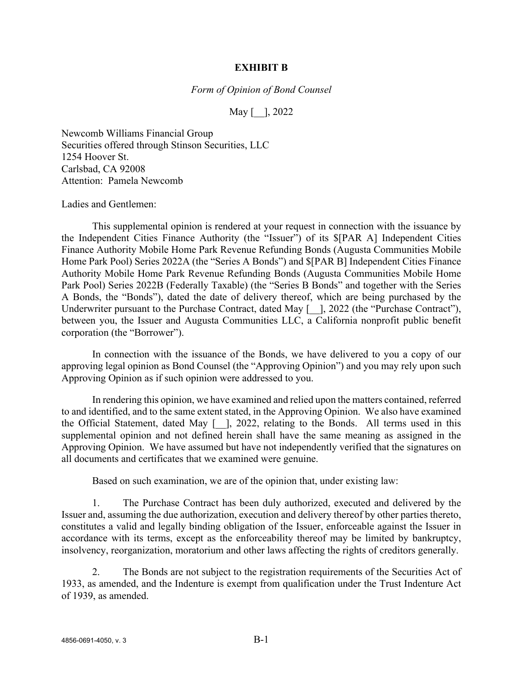#### **EXHIBIT B**

*Form of Opinion of Bond Counsel*

May [ ], 2022

Newcomb Williams Financial Group Securities offered through Stinson Securities, LLC 1254 Hoover St. Carlsbad, CA 92008 Attention: Pamela Newcomb

Ladies and Gentlemen:

This supplemental opinion is rendered at your request in connection with the issuance by the Independent Cities Finance Authority (the "Issuer") of its \$[PAR A] Independent Cities Finance Authority Mobile Home Park Revenue Refunding Bonds (Augusta Communities Mobile Home Park Pool) Series 2022A (the "Series A Bonds") and \$[PAR B] Independent Cities Finance Authority Mobile Home Park Revenue Refunding Bonds (Augusta Communities Mobile Home Park Pool) Series 2022B (Federally Taxable) (the "Series B Bonds" and together with the Series A Bonds, the "Bonds"), dated the date of delivery thereof, which are being purchased by the Underwriter pursuant to the Purchase Contract, dated May [ \_], 2022 (the "Purchase Contract"), between you, the Issuer and Augusta Communities LLC, a California nonprofit public benefit corporation (the "Borrower").

In connection with the issuance of the Bonds, we have delivered to you a copy of our approving legal opinion as Bond Counsel (the "Approving Opinion") and you may rely upon such Approving Opinion as if such opinion were addressed to you.

In rendering this opinion, we have examined and relied upon the matters contained, referred to and identified, and to the same extent stated, in the Approving Opinion. We also have examined the Official Statement, dated May [<sup>1</sup>], 2022, relating to the Bonds. All terms used in this supplemental opinion and not defined herein shall have the same meaning as assigned in the Approving Opinion. We have assumed but have not independently verified that the signatures on all documents and certificates that we examined were genuine.

Based on such examination, we are of the opinion that, under existing law:

1. The Purchase Contract has been duly authorized, executed and delivered by the Issuer and, assuming the due authorization, execution and delivery thereof by other parties thereto, constitutes a valid and legally binding obligation of the Issuer, enforceable against the Issuer in accordance with its terms, except as the enforceability thereof may be limited by bankruptcy, insolvency, reorganization, moratorium and other laws affecting the rights of creditors generally.

2. The Bonds are not subject to the registration requirements of the Securities Act of 1933, as amended, and the Indenture is exempt from qualification under the Trust Indenture Act of 1939, as amended.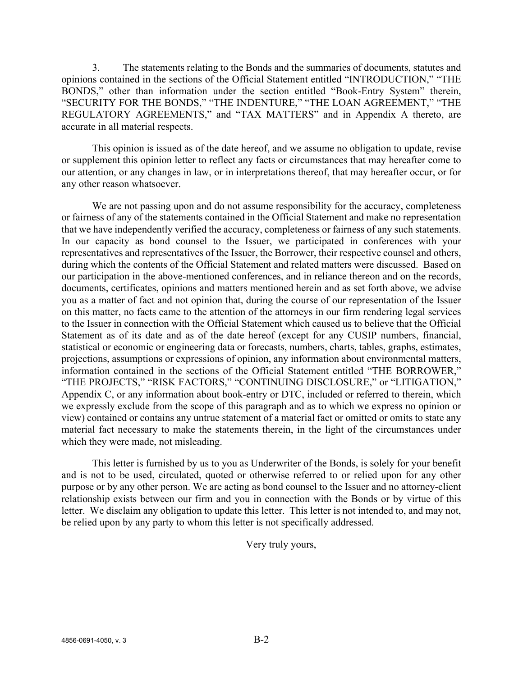3. The statements relating to the Bonds and the summaries of documents, statutes and opinions contained in the sections of the Official Statement entitled "INTRODUCTION," "THE BONDS," other than information under the section entitled "Book-Entry System" therein, "SECURITY FOR THE BONDS," "THE INDENTURE," "THE LOAN AGREEMENT," "THE REGULATORY AGREEMENTS," and "TAX MATTERS" and in Appendix A thereto, are accurate in all material respects.

This opinion is issued as of the date hereof, and we assume no obligation to update, revise or supplement this opinion letter to reflect any facts or circumstances that may hereafter come to our attention, or any changes in law, or in interpretations thereof, that may hereafter occur, or for any other reason whatsoever.

We are not passing upon and do not assume responsibility for the accuracy, completeness or fairness of any of the statements contained in the Official Statement and make no representation that we have independently verified the accuracy, completeness or fairness of any such statements. In our capacity as bond counsel to the Issuer, we participated in conferences with your representatives and representatives of the Issuer, the Borrower, their respective counsel and others, during which the contents of the Official Statement and related matters were discussed. Based on our participation in the above-mentioned conferences, and in reliance thereon and on the records, documents, certificates, opinions and matters mentioned herein and as set forth above, we advise you as a matter of fact and not opinion that, during the course of our representation of the Issuer on this matter, no facts came to the attention of the attorneys in our firm rendering legal services to the Issuer in connection with the Official Statement which caused us to believe that the Official Statement as of its date and as of the date hereof (except for any CUSIP numbers, financial, statistical or economic or engineering data or forecasts, numbers, charts, tables, graphs, estimates, projections, assumptions or expressions of opinion, any information about environmental matters, information contained in the sections of the Official Statement entitled "THE BORROWER," "THE PROJECTS," "RISK FACTORS," "CONTINUING DISCLOSURE," or "LITIGATION," Appendix C, or any information about book-entry or DTC, included or referred to therein, which we expressly exclude from the scope of this paragraph and as to which we express no opinion or view) contained or contains any untrue statement of a material fact or omitted or omits to state any material fact necessary to make the statements therein, in the light of the circumstances under which they were made, not misleading.

This letter is furnished by us to you as Underwriter of the Bonds, is solely for your benefit and is not to be used, circulated, quoted or otherwise referred to or relied upon for any other purpose or by any other person. We are acting as bond counsel to the Issuer and no attorney-client relationship exists between our firm and you in connection with the Bonds or by virtue of this letter. We disclaim any obligation to update this letter. This letter is not intended to, and may not, be relied upon by any party to whom this letter is not specifically addressed.

Very truly yours,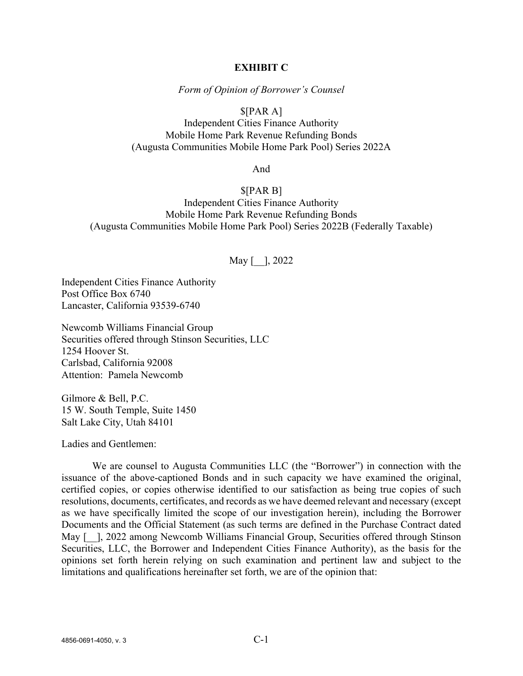#### **EXHIBIT C**

*Form of Opinion of Borrower's Counsel* 

## \$[PAR A]

Independent Cities Finance Authority Mobile Home Park Revenue Refunding Bonds (Augusta Communities Mobile Home Park Pool) Series 2022A

And

## \$[PAR B] Independent Cities Finance Authority Mobile Home Park Revenue Refunding Bonds (Augusta Communities Mobile Home Park Pool) Series 2022B (Federally Taxable)

## May [ ], 2022

Independent Cities Finance Authority Post Office Box 6740 Lancaster, California 93539-6740

Newcomb Williams Financial Group Securities offered through Stinson Securities, LLC 1254 Hoover St. Carlsbad, California 92008 Attention: Pamela Newcomb

Gilmore & Bell, P.C. 15 W. South Temple, Suite 1450 Salt Lake City, Utah 84101

Ladies and Gentlemen:

We are counsel to Augusta Communities LLC (the "Borrower") in connection with the issuance of the above-captioned Bonds and in such capacity we have examined the original, certified copies, or copies otherwise identified to our satisfaction as being true copies of such resolutions, documents, certificates, and records as we have deemed relevant and necessary (except as we have specifically limited the scope of our investigation herein), including the Borrower Documents and the Official Statement (as such terms are defined in the Purchase Contract dated May [-1, 2022 among Newcomb Williams Financial Group, Securities offered through Stinson Securities, LLC, the Borrower and Independent Cities Finance Authority), as the basis for the opinions set forth herein relying on such examination and pertinent law and subject to the limitations and qualifications hereinafter set forth, we are of the opinion that: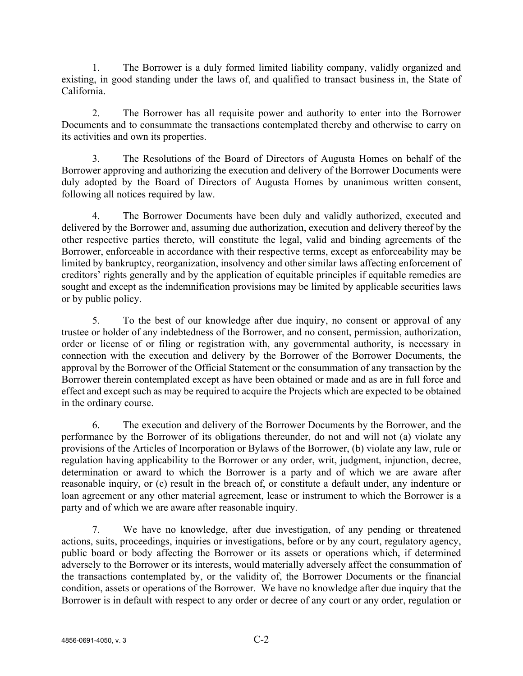1. The Borrower is a duly formed limited liability company, validly organized and existing, in good standing under the laws of, and qualified to transact business in, the State of California.

2. The Borrower has all requisite power and authority to enter into the Borrower Documents and to consummate the transactions contemplated thereby and otherwise to carry on its activities and own its properties.

3. The Resolutions of the Board of Directors of Augusta Homes on behalf of the Borrower approving and authorizing the execution and delivery of the Borrower Documents were duly adopted by the Board of Directors of Augusta Homes by unanimous written consent, following all notices required by law.

4. The Borrower Documents have been duly and validly authorized, executed and delivered by the Borrower and, assuming due authorization, execution and delivery thereof by the other respective parties thereto, will constitute the legal, valid and binding agreements of the Borrower, enforceable in accordance with their respective terms, except as enforceability may be limited by bankruptcy, reorganization, insolvency and other similar laws affecting enforcement of creditors' rights generally and by the application of equitable principles if equitable remedies are sought and except as the indemnification provisions may be limited by applicable securities laws or by public policy.

5. To the best of our knowledge after due inquiry, no consent or approval of any trustee or holder of any indebtedness of the Borrower, and no consent, permission, authorization, order or license of or filing or registration with, any governmental authority, is necessary in connection with the execution and delivery by the Borrower of the Borrower Documents, the approval by the Borrower of the Official Statement or the consummation of any transaction by the Borrower therein contemplated except as have been obtained or made and as are in full force and effect and except such as may be required to acquire the Projects which are expected to be obtained in the ordinary course.

6. The execution and delivery of the Borrower Documents by the Borrower, and the performance by the Borrower of its obligations thereunder, do not and will not (a) violate any provisions of the Articles of Incorporation or Bylaws of the Borrower, (b) violate any law, rule or regulation having applicability to the Borrower or any order, writ, judgment, injunction, decree, determination or award to which the Borrower is a party and of which we are aware after reasonable inquiry, or (c) result in the breach of, or constitute a default under, any indenture or loan agreement or any other material agreement, lease or instrument to which the Borrower is a party and of which we are aware after reasonable inquiry.

7. We have no knowledge, after due investigation, of any pending or threatened actions, suits, proceedings, inquiries or investigations, before or by any court, regulatory agency, public board or body affecting the Borrower or its assets or operations which, if determined adversely to the Borrower or its interests, would materially adversely affect the consummation of the transactions contemplated by, or the validity of, the Borrower Documents or the financial condition, assets or operations of the Borrower. We have no knowledge after due inquiry that the Borrower is in default with respect to any order or decree of any court or any order, regulation or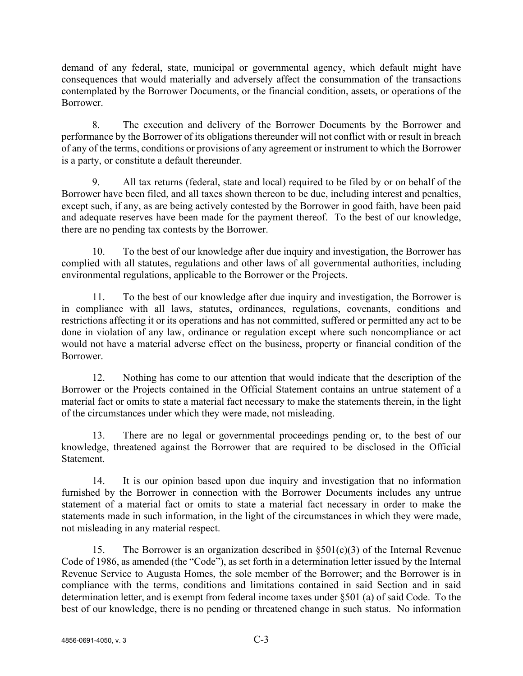demand of any federal, state, municipal or governmental agency, which default might have consequences that would materially and adversely affect the consummation of the transactions contemplated by the Borrower Documents, or the financial condition, assets, or operations of the Borrower.

8. The execution and delivery of the Borrower Documents by the Borrower and performance by the Borrower of its obligations thereunder will not conflict with or result in breach of any of the terms, conditions or provisions of any agreement or instrument to which the Borrower is a party, or constitute a default thereunder.

9. All tax returns (federal, state and local) required to be filed by or on behalf of the Borrower have been filed, and all taxes shown thereon to be due, including interest and penalties, except such, if any, as are being actively contested by the Borrower in good faith, have been paid and adequate reserves have been made for the payment thereof. To the best of our knowledge, there are no pending tax contests by the Borrower.

10. To the best of our knowledge after due inquiry and investigation, the Borrower has complied with all statutes, regulations and other laws of all governmental authorities, including environmental regulations, applicable to the Borrower or the Projects.

11. To the best of our knowledge after due inquiry and investigation, the Borrower is in compliance with all laws, statutes, ordinances, regulations, covenants, conditions and restrictions affecting it or its operations and has not committed, suffered or permitted any act to be done in violation of any law, ordinance or regulation except where such noncompliance or act would not have a material adverse effect on the business, property or financial condition of the Borrower.

12. Nothing has come to our attention that would indicate that the description of the Borrower or the Projects contained in the Official Statement contains an untrue statement of a material fact or omits to state a material fact necessary to make the statements therein, in the light of the circumstances under which they were made, not misleading.

13. There are no legal or governmental proceedings pending or, to the best of our knowledge, threatened against the Borrower that are required to be disclosed in the Official Statement.

14. It is our opinion based upon due inquiry and investigation that no information furnished by the Borrower in connection with the Borrower Documents includes any untrue statement of a material fact or omits to state a material fact necessary in order to make the statements made in such information, in the light of the circumstances in which they were made, not misleading in any material respect.

15. The Borrower is an organization described in  $\S501(c)(3)$  of the Internal Revenue Code of 1986, as amended (the "Code"), as set forth in a determination letter issued by the Internal Revenue Service to Augusta Homes, the sole member of the Borrower; and the Borrower is in compliance with the terms, conditions and limitations contained in said Section and in said determination letter, and is exempt from federal income taxes under §501 (a) of said Code. To the best of our knowledge, there is no pending or threatened change in such status. No information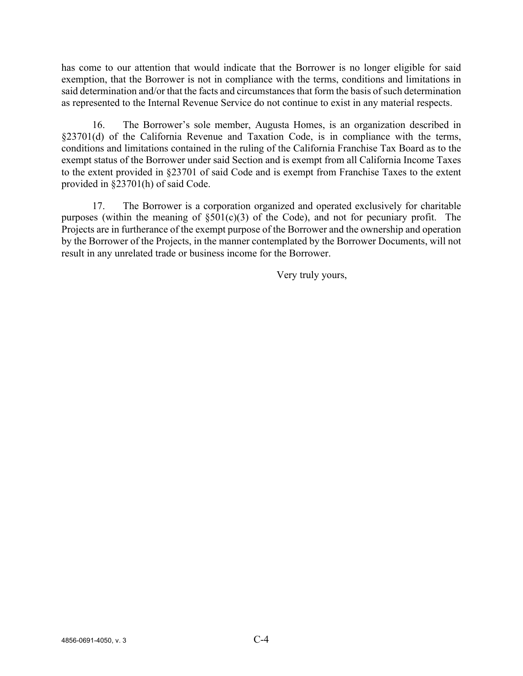has come to our attention that would indicate that the Borrower is no longer eligible for said exemption, that the Borrower is not in compliance with the terms, conditions and limitations in said determination and/or that the facts and circumstances that form the basis of such determination as represented to the Internal Revenue Service do not continue to exist in any material respects.

16. The Borrower's sole member, Augusta Homes, is an organization described in §23701(d) of the California Revenue and Taxation Code, is in compliance with the terms, conditions and limitations contained in the ruling of the California Franchise Tax Board as to the exempt status of the Borrower under said Section and is exempt from all California Income Taxes to the extent provided in §23701 of said Code and is exempt from Franchise Taxes to the extent provided in §23701(h) of said Code.

17. The Borrower is a corporation organized and operated exclusively for charitable purposes (within the meaning of  $\S501(c)(3)$  of the Code), and not for pecuniary profit. The Projects are in furtherance of the exempt purpose of the Borrower and the ownership and operation by the Borrower of the Projects, in the manner contemplated by the Borrower Documents, will not result in any unrelated trade or business income for the Borrower.

Very truly yours,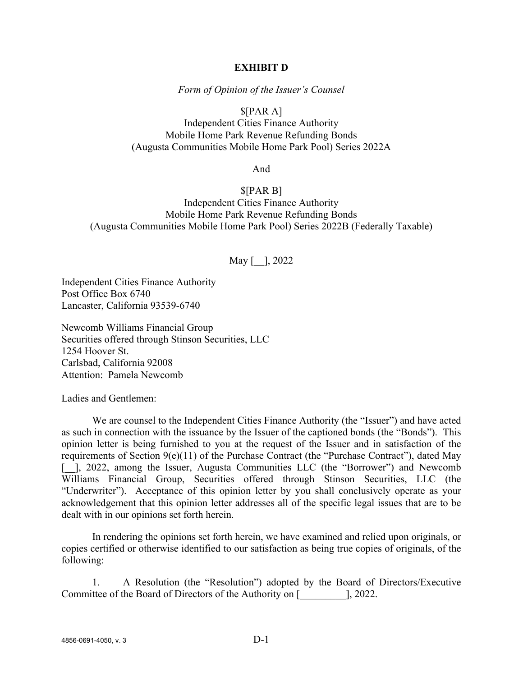#### **EXHIBIT D**

*Form of Opinion of the Issuer's Counsel*

## \$[PAR A]

Independent Cities Finance Authority Mobile Home Park Revenue Refunding Bonds (Augusta Communities Mobile Home Park Pool) Series 2022A

And

\$[PAR B] Independent Cities Finance Authority Mobile Home Park Revenue Refunding Bonds (Augusta Communities Mobile Home Park Pool) Series 2022B (Federally Taxable)

## May [ ], 2022

Independent Cities Finance Authority Post Office Box 6740 Lancaster, California 93539-6740

Newcomb Williams Financial Group Securities offered through Stinson Securities, LLC 1254 Hoover St. Carlsbad, California 92008 Attention: Pamela Newcomb

Ladies and Gentlemen:

We are counsel to the Independent Cities Finance Authority (the "Issuer") and have acted as such in connection with the issuance by the Issuer of the captioned bonds (the "Bonds"). This opinion letter is being furnished to you at the request of the Issuer and in satisfaction of the requirements of Section 9(e)(11) of the Purchase Contract (the "Purchase Contract"), dated May [. ], 2022, among the Issuer, Augusta Communities LLC (the "Borrower") and Newcomb Williams Financial Group, Securities offered through Stinson Securities, LLC (the "Underwriter"). Acceptance of this opinion letter by you shall conclusively operate as your acknowledgement that this opinion letter addresses all of the specific legal issues that are to be dealt with in our opinions set forth herein.

In rendering the opinions set forth herein, we have examined and relied upon originals, or copies certified or otherwise identified to our satisfaction as being true copies of originals, of the following:

1. A Resolution (the "Resolution") adopted by the Board of Directors/Executive Committee of the Board of Directors of the Authority on [\_\_\_\_\_\_\_\_\_], 2022.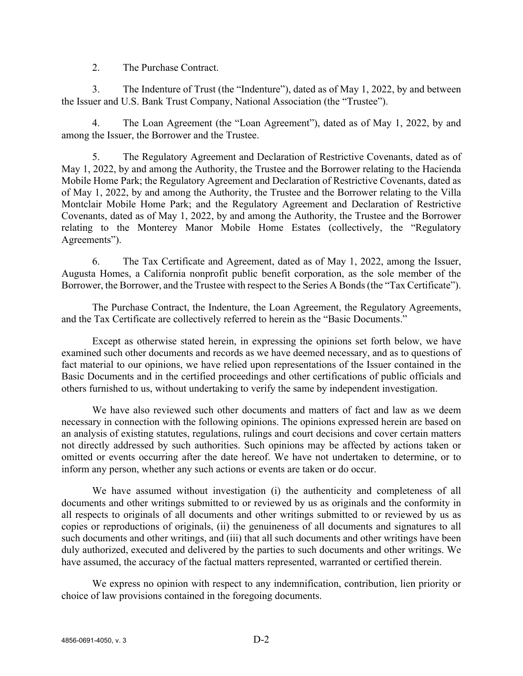2. The Purchase Contract.

3. The Indenture of Trust (the "Indenture"), dated as of May 1, 2022, by and between the Issuer and U.S. Bank Trust Company, National Association (the "Trustee").

4. The Loan Agreement (the "Loan Agreement"), dated as of May 1, 2022, by and among the Issuer, the Borrower and the Trustee.

5. The Regulatory Agreement and Declaration of Restrictive Covenants, dated as of May 1, 2022, by and among the Authority, the Trustee and the Borrower relating to the Hacienda Mobile Home Park; the Regulatory Agreement and Declaration of Restrictive Covenants, dated as of May 1, 2022, by and among the Authority, the Trustee and the Borrower relating to the Villa Montclair Mobile Home Park; and the Regulatory Agreement and Declaration of Restrictive Covenants, dated as of May 1, 2022, by and among the Authority, the Trustee and the Borrower relating to the Monterey Manor Mobile Home Estates (collectively, the "Regulatory Agreements").

6. The Tax Certificate and Agreement, dated as of May 1, 2022, among the Issuer, Augusta Homes, a California nonprofit public benefit corporation, as the sole member of the Borrower, the Borrower, and the Trustee with respect to the Series A Bonds(the "Tax Certificate").

The Purchase Contract, the Indenture, the Loan Agreement, the Regulatory Agreements, and the Tax Certificate are collectively referred to herein as the "Basic Documents."

Except as otherwise stated herein, in expressing the opinions set forth below, we have examined such other documents and records as we have deemed necessary, and as to questions of fact material to our opinions, we have relied upon representations of the Issuer contained in the Basic Documents and in the certified proceedings and other certifications of public officials and others furnished to us, without undertaking to verify the same by independent investigation.

We have also reviewed such other documents and matters of fact and law as we deem necessary in connection with the following opinions. The opinions expressed herein are based on an analysis of existing statutes, regulations, rulings and court decisions and cover certain matters not directly addressed by such authorities. Such opinions may be affected by actions taken or omitted or events occurring after the date hereof. We have not undertaken to determine, or to inform any person, whether any such actions or events are taken or do occur.

We have assumed without investigation (i) the authenticity and completeness of all documents and other writings submitted to or reviewed by us as originals and the conformity in all respects to originals of all documents and other writings submitted to or reviewed by us as copies or reproductions of originals, (ii) the genuineness of all documents and signatures to all such documents and other writings, and (iii) that all such documents and other writings have been duly authorized, executed and delivered by the parties to such documents and other writings. We have assumed, the accuracy of the factual matters represented, warranted or certified therein.

We express no opinion with respect to any indemnification, contribution, lien priority or choice of law provisions contained in the foregoing documents.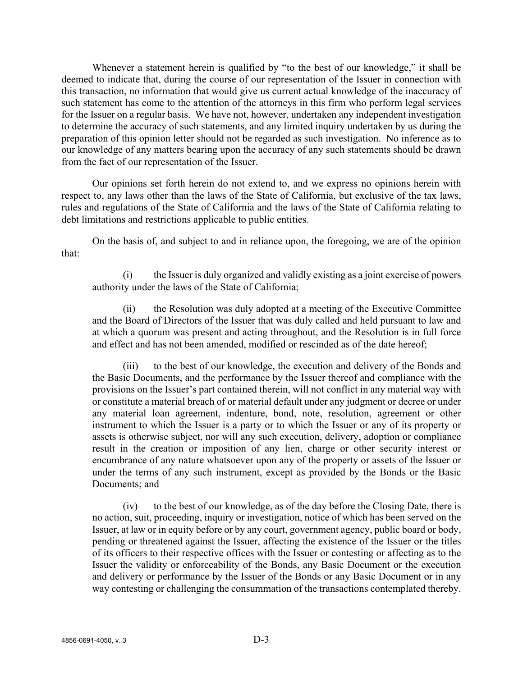Whenever a statement herein is qualified by "to the best of our knowledge," it shall be deemed to indicate that, during the course of our representation of the Issuer in connection with this transaction, no information that would give us current actual knowledge of the inaccuracy of such statement has come to the attention of the attorneys in this firm who perform legal services for the Issuer on a regular basis. We have not, however, undertaken any independent investigation to determine the accuracy of such statements, and any limited inquiry undertaken by us during the preparation of this opinion letter should not be regarded as such investigation. No inference as to our knowledge of any matters bearing upon the accuracy of any such statements should be drawn from the fact of our representation of the Issuer.

Our opinions set forth herein do not extend to, and we express no opinions herein with respect to, any laws other than the laws of the State of California, but exclusive of the tax laws, rules and regulations of the State of California and the laws of the State of California relating to debt limitations and restrictions applicable to public entities.

On the basis of, and subject to and in reliance upon, the foregoing, we are of the opinion that:

(i) the Issuer is duly organized and validly existing as a joint exercise of powers authority under the laws of the State of California;

(ii) the Resolution was duly adopted at a meeting of the Executive Committee and the Board of Directors of the Issuer that was duly called and held pursuant to law and at which a quorum was present and acting throughout, and the Resolution is in full force and effect and has not been amended, modified or rescinded as of the date hereof;

(iii) to the best of our knowledge, the execution and delivery of the Bonds and the Basic Documents, and the performance by the Issuer thereof and compliance with the provisions on the Issuer's part contained therein, will not conflict in any material way with or constitute a material breach of or material default under any judgment or decree or under any material loan agreement, indenture, bond, note, resolution, agreement or other instrument to which the Issuer is a party or to which the Issuer or any of its property or assets is otherwise subject, nor will any such execution, delivery, adoption or compliance result in the creation or imposition of any lien, charge or other security interest or encumbrance of any nature whatsoever upon any of the property or assets of the Issuer or under the terms of any such instrument, except as provided by the Bonds or the Basic Documents; and

(iv) to the best of our knowledge, as of the day before the Closing Date, there is no action, suit, proceeding, inquiry or investigation, notice of which has been served on the Issuer, at law or in equity before or by any court, government agency, public board or body, pending or threatened against the Issuer, affecting the existence of the Issuer or the titles of its officers to their respective offices with the Issuer or contesting or affecting as to the Issuer the validity or enforceability of the Bonds, any Basic Document or the execution and delivery or performance by the Issuer of the Bonds or any Basic Document or in any way contesting or challenging the consummation of the transactions contemplated thereby.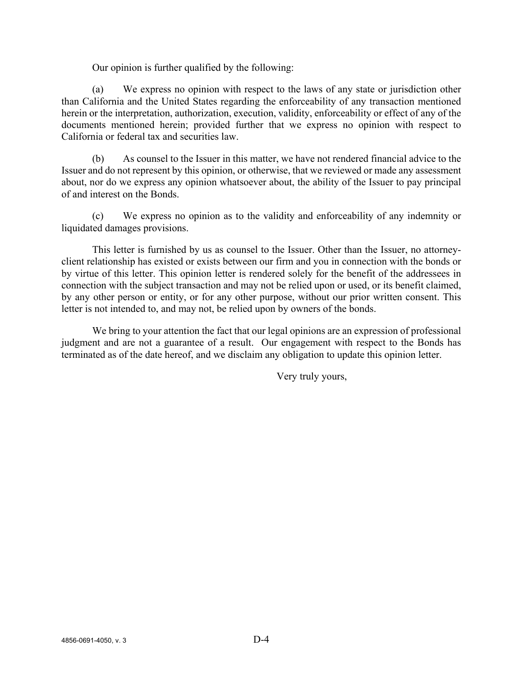Our opinion is further qualified by the following:

(a) We express no opinion with respect to the laws of any state or jurisdiction other than California and the United States regarding the enforceability of any transaction mentioned herein or the interpretation, authorization, execution, validity, enforceability or effect of any of the documents mentioned herein; provided further that we express no opinion with respect to California or federal tax and securities law.

(b) As counsel to the Issuer in this matter, we have not rendered financial advice to the Issuer and do not represent by this opinion, or otherwise, that we reviewed or made any assessment about, nor do we express any opinion whatsoever about, the ability of the Issuer to pay principal of and interest on the Bonds.

(c) We express no opinion as to the validity and enforceability of any indemnity or liquidated damages provisions.

This letter is furnished by us as counsel to the Issuer. Other than the Issuer, no attorneyclient relationship has existed or exists between our firm and you in connection with the bonds or by virtue of this letter. This opinion letter is rendered solely for the benefit of the addressees in connection with the subject transaction and may not be relied upon or used, or its benefit claimed, by any other person or entity, or for any other purpose, without our prior written consent. This letter is not intended to, and may not, be relied upon by owners of the bonds.

We bring to your attention the fact that our legal opinions are an expression of professional judgment and are not a guarantee of a result. Our engagement with respect to the Bonds has terminated as of the date hereof, and we disclaim any obligation to update this opinion letter.

Very truly yours,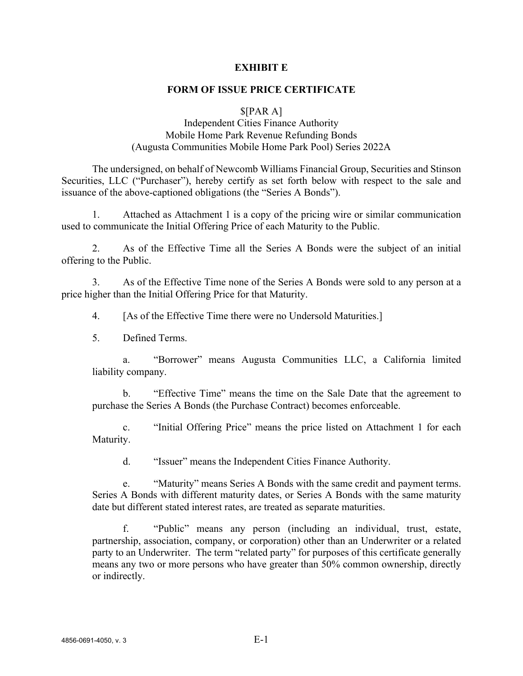## **EXHIBIT E**

## **FORM OF ISSUE PRICE CERTIFICATE**

#### $\{PAR A\}$

## Independent Cities Finance Authority Mobile Home Park Revenue Refunding Bonds (Augusta Communities Mobile Home Park Pool) Series 2022A

The undersigned, on behalf of Newcomb Williams Financial Group, Securities and Stinson Securities, LLC ("Purchaser"), hereby certify as set forth below with respect to the sale and issuance of the above-captioned obligations (the "Series A Bonds").

1. Attached as Attachment 1 is a copy of the pricing wire or similar communication used to communicate the Initial Offering Price of each Maturity to the Public.

2. As of the Effective Time all the Series A Bonds were the subject of an initial offering to the Public.

3. As of the Effective Time none of the Series A Bonds were sold to any person at a price higher than the Initial Offering Price for that Maturity.

4. [As of the Effective Time there were no Undersold Maturities.]

5. Defined Terms.

a. "Borrower" means Augusta Communities LLC, a California limited liability company.

b. "Effective Time" means the time on the Sale Date that the agreement to purchase the Series A Bonds (the Purchase Contract) becomes enforceable.

c. "Initial Offering Price" means the price listed on Attachment 1 for each Maturity.

d. "Issuer" means the Independent Cities Finance Authority.

e. "Maturity" means Series A Bonds with the same credit and payment terms. Series A Bonds with different maturity dates, or Series A Bonds with the same maturity date but different stated interest rates, are treated as separate maturities.

f. "Public" means any person (including an individual, trust, estate, partnership, association, company, or corporation) other than an Underwriter or a related party to an Underwriter. The term "related party" for purposes of this certificate generally means any two or more persons who have greater than 50% common ownership, directly or indirectly.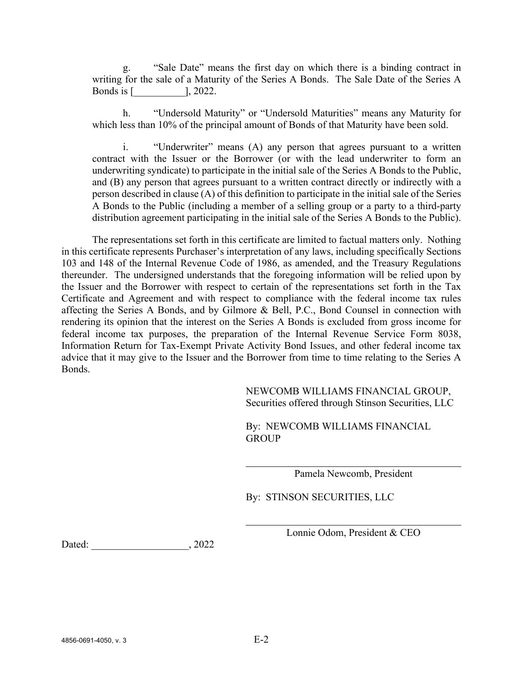g. "Sale Date" means the first day on which there is a binding contract in writing for the sale of a Maturity of the Series A Bonds. The Sale Date of the Series A Bonds is [\_\_\_\_\_\_\_\_\_\_], 2022.

h. "Undersold Maturity" or "Undersold Maturities" means any Maturity for which less than 10% of the principal amount of Bonds of that Maturity have been sold.

i. "Underwriter" means (A) any person that agrees pursuant to a written contract with the Issuer or the Borrower (or with the lead underwriter to form an underwriting syndicate) to participate in the initial sale of the Series A Bonds to the Public, and (B) any person that agrees pursuant to a written contract directly or indirectly with a person described in clause (A) of this definition to participate in the initial sale of the Series A Bonds to the Public (including a member of a selling group or a party to a third-party distribution agreement participating in the initial sale of the Series A Bonds to the Public).

The representations set forth in this certificate are limited to factual matters only. Nothing in this certificate represents Purchaser's interpretation of any laws, including specifically Sections 103 and 148 of the Internal Revenue Code of 1986, as amended, and the Treasury Regulations thereunder. The undersigned understands that the foregoing information will be relied upon by the Issuer and the Borrower with respect to certain of the representations set forth in the Tax Certificate and Agreement and with respect to compliance with the federal income tax rules affecting the Series A Bonds, and by Gilmore & Bell, P.C., Bond Counsel in connection with rendering its opinion that the interest on the Series A Bonds is excluded from gross income for federal income tax purposes, the preparation of the Internal Revenue Service Form 8038, Information Return for Tax-Exempt Private Activity Bond Issues, and other federal income tax advice that it may give to the Issuer and the Borrower from time to time relating to the Series A Bonds.

> NEWCOMB WILLIAMS FINANCIAL GROUP, Securities offered through Stinson Securities, LLC

By: NEWCOMB WILLIAMS FINANCIAL **GROUP** 

Pamela Newcomb, President

By: STINSON SECURITIES, LLC

Lonnie Odom, President & CEO

Dated: 2022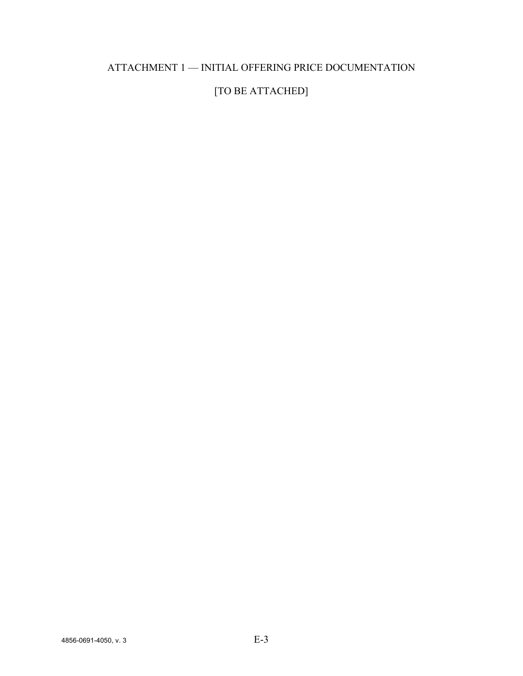## ATTACHMENT 1 — INITIAL OFFERING PRICE DOCUMENTATION

# [TO BE ATTACHED]